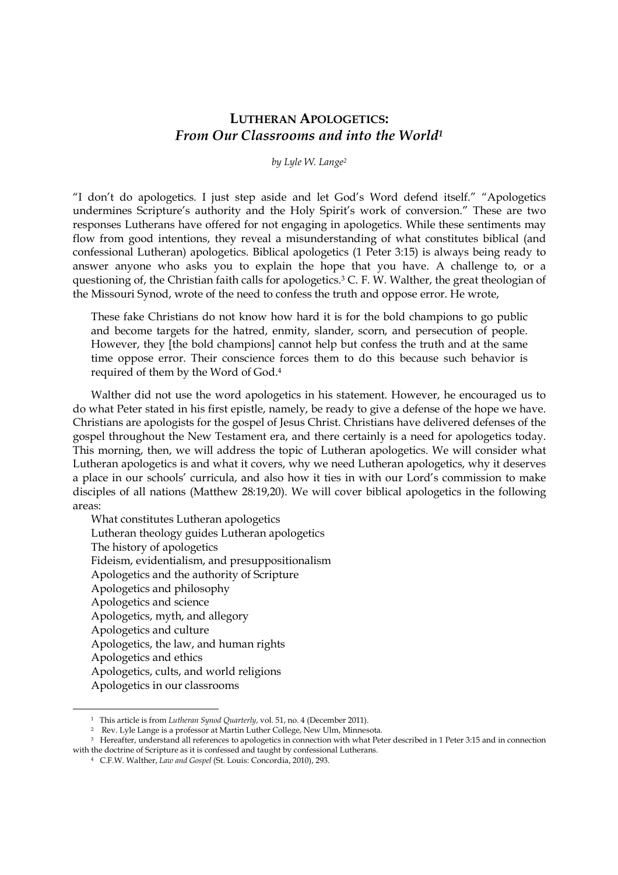# **LUTHERAN APOLOGETICS:**  *From Our Classrooms and into the World<sup>1</sup>*

*by Lyle W. Lange<sup>2</sup>*

"I don't do apologetics. I just step aside and let God's Word defend itself." "Apologetics undermines Scripture's authority and the Holy Spirit's work of conversion." These are two responses Lutherans have offered for not engaging in apologetics. While these sentiments may flow from good intentions, they reveal a misunderstanding of what constitutes biblical (and confessional Lutheran) apologetics. Biblical apologetics (1 Peter 3:15) is always being ready to answer anyone who asks you to explain the hope that you have. A challenge to, or a questioning of, the Christian faith calls for apologetics.<sup>3</sup> C. F. W. Walther, the great theologian of the Missouri Synod, wrote of the need to confess the truth and oppose error. He wrote,

These fake Christians do not know how hard it is for the bold champions to go public and become targets for the hatred, enmity, slander, scorn, and persecution of people. However, they [the bold champions] cannot help but confess the truth and at the same time oppose error. Their conscience forces them to do this because such behavior is required of them by the Word of God.<sup>4</sup>

Walther did not use the word apologetics in his statement. However, he encouraged us to do what Peter stated in his first epistle, namely, be ready to give a defense of the hope we have. Christians are apologists for the gospel of Jesus Christ. Christians have delivered defenses of the gospel throughout the New Testament era, and there certainly is a need for apologetics today. This morning, then, we will address the topic of Lutheran apologetics. We will consider what Lutheran apologetics is and what it covers, why we need Lutheran apologetics, why it deserves a place in our schools' curricula, and also how it ties in with our Lord's commission to make disciples of all nations (Matthew 28:19,20). We will cover biblical apologetics in the following areas:

What constitutes Lutheran apologetics Lutheran theology guides Lutheran apologetics The history of apologetics Fideism, evidentialism, and presuppositionalism Apologetics and the authority of Scripture Apologetics and philosophy Apologetics and science Apologetics, myth, and allegory Apologetics and culture Apologetics, the law, and human rights Apologetics and ethics Apologetics, cults, and world religions Apologetics in our classrooms

<sup>1</sup> This article is from *Lutheran Synod Quarterly,* vol. 51, no. 4 (December 2011).

<sup>2</sup> Rev. Lyle Lange is a professor at Martin Luther College, New Ulm, Minnesota.

<sup>&</sup>lt;sup>3</sup> Hereafter, understand all references to apologetics in connection with what Peter described in 1 Peter 3:15 and in connection with the doctrine of Scripture as it is confessed and taught by confessional Lutherans.

<sup>4</sup> C.F.W. Walther, *Law and Gospel* (St. Louis: Concordia, 2010), 293.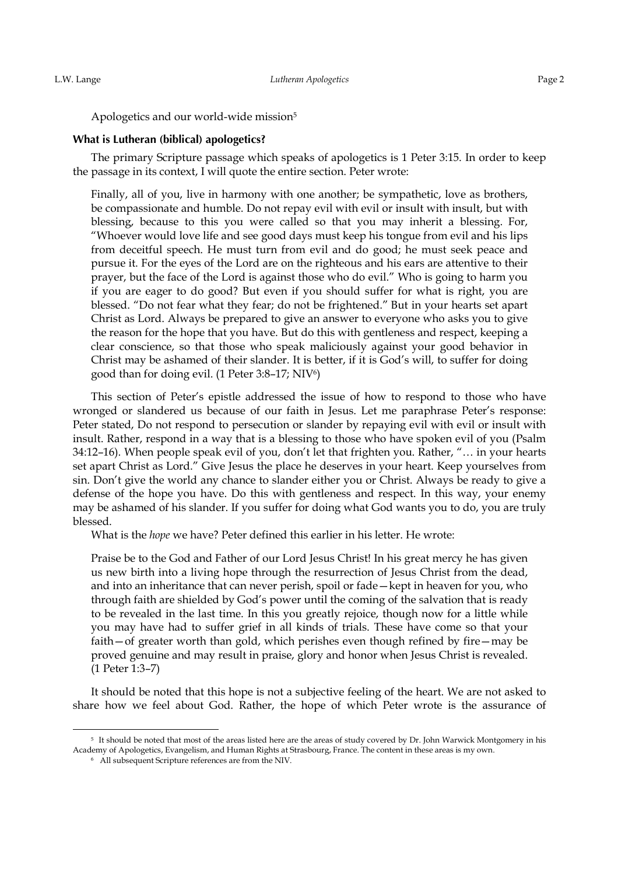Apologetics and our world-wide mission<sup>5</sup>

#### **What is Lutheran (biblical) apologetics?**

The primary Scripture passage which speaks of apologetics is 1 Peter 3:15. In order to keep the passage in its context, I will quote the entire section. Peter wrote:

Finally, all of you, live in harmony with one another; be sympathetic, love as brothers, be compassionate and humble. Do not repay evil with evil or insult with insult, but with blessing, because to this you were called so that you may inherit a blessing. For, "Whoever would love life and see good days must keep his tongue from evil and his lips from deceitful speech. He must turn from evil and do good; he must seek peace and pursue it. For the eyes of the Lord are on the righteous and his ears are attentive to their prayer, but the face of the Lord is against those who do evil." Who is going to harm you if you are eager to do good? But even if you should suffer for what is right, you are blessed. "Do not fear what they fear; do not be frightened." But in your hearts set apart Christ as Lord. Always be prepared to give an answer to everyone who asks you to give the reason for the hope that you have. But do this with gentleness and respect, keeping a clear conscience, so that those who speak maliciously against your good behavior in Christ may be ashamed of their slander. It is better, if it is God's will, to suffer for doing good than for doing evil. (1 Peter 3:8–17; NIV<sup>6</sup> )

This section of Peter's epistle addressed the issue of how to respond to those who have wronged or slandered us because of our faith in Jesus. Let me paraphrase Peter's response: Peter stated, Do not respond to persecution or slander by repaying evil with evil or insult with insult. Rather, respond in a way that is a blessing to those who have spoken evil of you (Psalm 34:12–16). When people speak evil of you, don't let that frighten you. Rather, "… in your hearts set apart Christ as Lord." Give Jesus the place he deserves in your heart. Keep yourselves from sin. Don't give the world any chance to slander either you or Christ. Always be ready to give a defense of the hope you have. Do this with gentleness and respect. In this way, your enemy may be ashamed of his slander. If you suffer for doing what God wants you to do, you are truly blessed.

What is the *hope* we have? Peter defined this earlier in his letter. He wrote:

Praise be to the God and Father of our Lord Jesus Christ! In his great mercy he has given us new birth into a living hope through the resurrection of Jesus Christ from the dead, and into an inheritance that can never perish, spoil or fade—kept in heaven for you, who through faith are shielded by God's power until the coming of the salvation that is ready to be revealed in the last time. In this you greatly rejoice, though now for a little while you may have had to suffer grief in all kinds of trials. These have come so that your faith—of greater worth than gold, which perishes even though refined by fire—may be proved genuine and may result in praise, glory and honor when Jesus Christ is revealed. (1 Peter 1:3–7)

It should be noted that this hope is not a subjective feeling of the heart. We are not asked to share how we feel about God. Rather, the hope of which Peter wrote is the assurance of

<sup>&</sup>lt;sup>5</sup> It should be noted that most of the areas listed here are the areas of study covered by Dr. John Warwick Montgomery in his Academy of Apologetics, Evangelism, and Human Rights at Strasbourg, France. The content in these areas is my own.

<sup>6</sup> All subsequent Scripture references are from the NIV.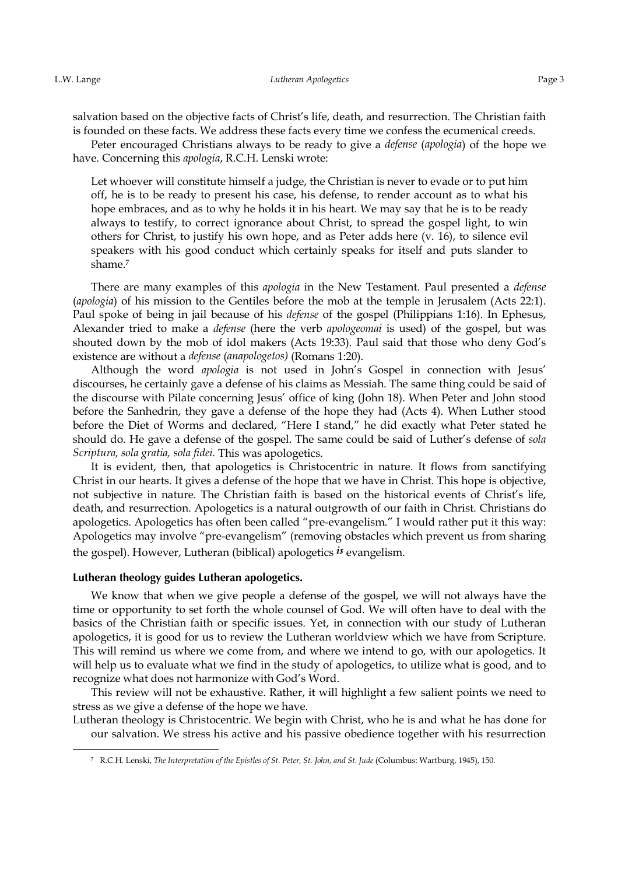<u>.</u>

salvation based on the objective facts of Christ's life, death, and resurrection. The Christian faith is founded on these facts. We address these facts every time we confess the ecumenical creeds.

Peter encouraged Christians always to be ready to give a *defense* (*apologia*) of the hope we have. Concerning this *apologia*, R.C.H. Lenski wrote:

Let whoever will constitute himself a judge, the Christian is never to evade or to put him off, he is to be ready to present his case, his defense, to render account as to what his hope embraces, and as to why he holds it in his heart. We may say that he is to be ready always to testify, to correct ignorance about Christ, to spread the gospel light, to win others for Christ, to justify his own hope, and as Peter adds here (v. 16), to silence evil speakers with his good conduct which certainly speaks for itself and puts slander to shame.<sup>7</sup>

There are many examples of this *apologia* in the New Testament. Paul presented a *defense* (*apologia*) of his mission to the Gentiles before the mob at the temple in Jerusalem (Acts 22:1). Paul spoke of being in jail because of his *defense* of the gospel (Philippians 1:16). In Ephesus, Alexander tried to make a *defense* (here the verb *apologeomai* is used) of the gospel, but was shouted down by the mob of idol makers (Acts 19:33). Paul said that those who deny God's existence are without a *defense* (*anapologetos)* (Romans 1:20).

Although the word *apologia* is not used in John's Gospel in connection with Jesus' discourses, he certainly gave a defense of his claims as Messiah. The same thing could be said of the discourse with Pilate concerning Jesus' office of king (John 18). When Peter and John stood before the Sanhedrin, they gave a defense of the hope they had (Acts 4). When Luther stood before the Diet of Worms and declared, "Here I stand," he did exactly what Peter stated he should do. He gave a defense of the gospel. The same could be said of Luther's defense of *sola Scriptura, sola gratia, sola fidei.* This was apologetics.

It is evident, then, that apologetics is Christocentric in nature. It flows from sanctifying Christ in our hearts. It gives a defense of the hope that we have in Christ. This hope is objective, not subjective in nature. The Christian faith is based on the historical events of Christ's life, death, and resurrection. Apologetics is a natural outgrowth of our faith in Christ. Christians do apologetics. Apologetics has often been called "pre-evangelism." I would rather put it this way: Apologetics may involve "pre-evangelism" (removing obstacles which prevent us from sharing the gospel). However, Lutheran (biblical) apologetics *is* evangelism.

#### Lutheran theology guides Lutheran apologetics.

We know that when we give people a defense of the gospel, we will not always have the time or opportunity to set forth the whole counsel of God. We will often have to deal with the basics of the Christian faith or specific issues. Yet, in connection with our study of Lutheran apologetics, it is good for us to review the Lutheran worldview which we have from Scripture. This will remind us where we come from, and where we intend to go, with our apologetics. It will help us to evaluate what we find in the study of apologetics, to utilize what is good, and to recognize what does not harmonize with God's Word.

This review will not be exhaustive. Rather, it will highlight a few salient points we need to stress as we give a defense of the hope we have.

Lutheran theology is Christocentric. We begin with Christ, who he is and what he has done for our salvation. We stress his active and his passive obedience together with his resurrection

<sup>7</sup> R.C.H. Lenski, *The Interpretation of the Epistles of St. Peter, St. John, and St. Jude* (Columbus: Wartburg, 1945), 150.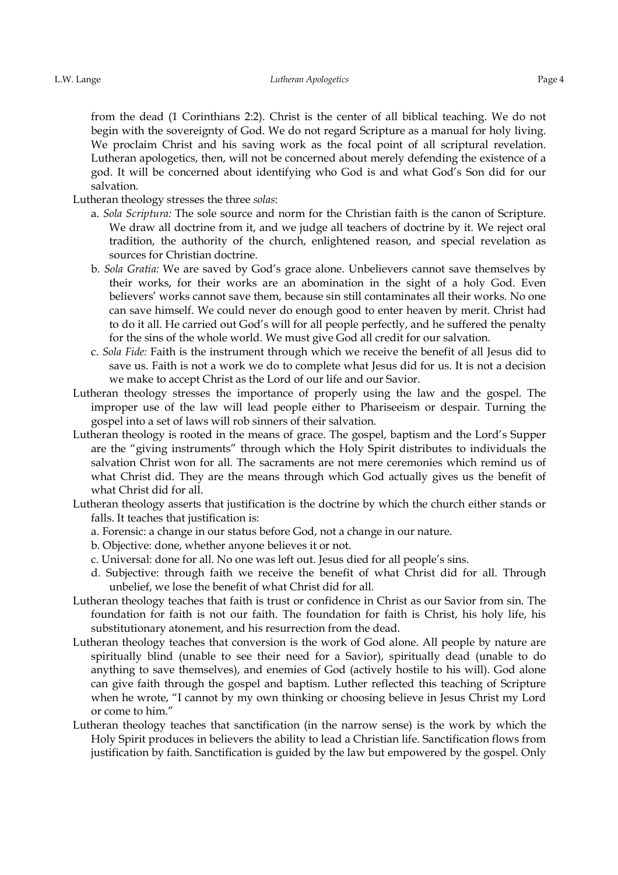from the dead (1 Corinthians 2:2). Christ is the center of all biblical teaching. We do not begin with the sovereignty of God. We do not regard Scripture as a manual for holy living. We proclaim Christ and his saving work as the focal point of all scriptural revelation. Lutheran apologetics, then, will not be concerned about merely defending the existence of a god. It will be concerned about identifying who God is and what God's Son did for our salvation.

Lutheran theology stresses the three *solas*:

- a. *Sola Scriptura:* The sole source and norm for the Christian faith is the canon of Scripture. We draw all doctrine from it, and we judge all teachers of doctrine by it. We reject oral tradition, the authority of the church, enlightened reason, and special revelation as sources for Christian doctrine.
- b. *Sola Gratia:* We are saved by God's grace alone. Unbelievers cannot save themselves by their works, for their works are an abomination in the sight of a holy God. Even believers' works cannot save them, because sin still contaminates all their works. No one can save himself. We could never do enough good to enter heaven by merit. Christ had to do it all. He carried out God's will for all people perfectly, and he suffered the penalty for the sins of the whole world. We must give God all credit for our salvation.
- c. *Sola Fide:* Faith is the instrument through which we receive the benefit of all Jesus did to save us. Faith is not a work we do to complete what Jesus did for us. It is not a decision we make to accept Christ as the Lord of our life and our Savior.
- Lutheran theology stresses the importance of properly using the law and the gospel. The improper use of the law will lead people either to Phariseeism or despair. Turning the gospel into a set of laws will rob sinners of their salvation.
- Lutheran theology is rooted in the means of grace. The gospel, baptism and the Lord's Supper are the "giving instruments" through which the Holy Spirit distributes to individuals the salvation Christ won for all. The sacraments are not mere ceremonies which remind us of what Christ did. They are the means through which God actually gives us the benefit of what Christ did for all.
- Lutheran theology asserts that justification is the doctrine by which the church either stands or falls. It teaches that justification is:
	- a. Forensic: a change in our status before God, not a change in our nature.
	- b. Objective: done, whether anyone believes it or not.
	- c. Universal: done for all. No one was left out. Jesus died for all people's sins.
	- d. Subjective: through faith we receive the benefit of what Christ did for all. Through unbelief, we lose the benefit of what Christ did for all.
- Lutheran theology teaches that faith is trust or confidence in Christ as our Savior from sin. The foundation for faith is not our faith. The foundation for faith is Christ, his holy life, his substitutionary atonement, and his resurrection from the dead.
- Lutheran theology teaches that conversion is the work of God alone. All people by nature are spiritually blind (unable to see their need for a Savior), spiritually dead (unable to do anything to save themselves), and enemies of God (actively hostile to his will). God alone can give faith through the gospel and baptism. Luther reflected this teaching of Scripture when he wrote, "I cannot by my own thinking or choosing believe in Jesus Christ my Lord or come to him."
- Lutheran theology teaches that sanctification (in the narrow sense) is the work by which the Holy Spirit produces in believers the ability to lead a Christian life. Sanctification flows from justification by faith. Sanctification is guided by the law but empowered by the gospel. Only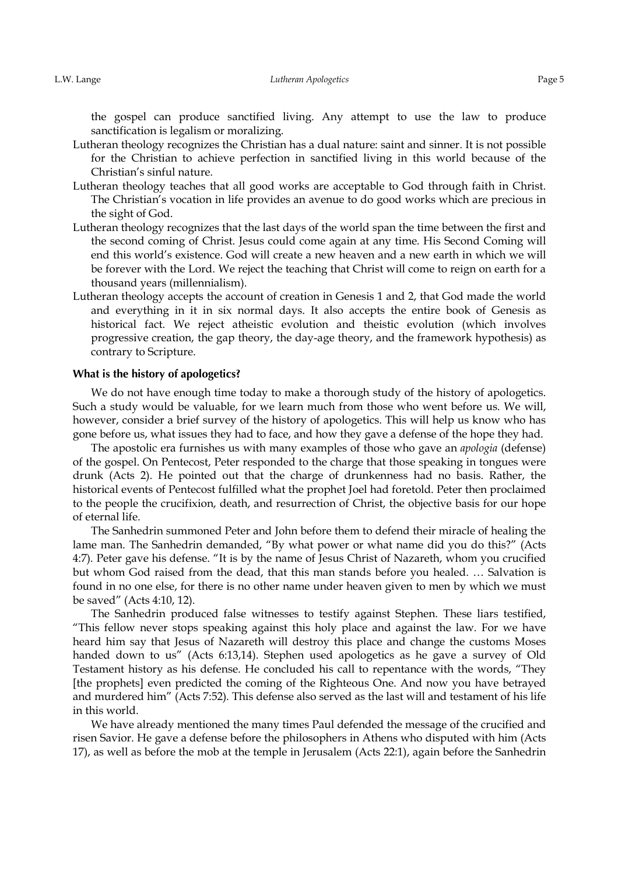the gospel can produce sanctified living. Any attempt to use the law to produce sanctification is legalism or moralizing.

- Lutheran theology recognizes the Christian has a dual nature: saint and sinner. It is not possible for the Christian to achieve perfection in sanctified living in this world because of the Christian's sinful nature.
- Lutheran theology teaches that all good works are acceptable to God through faith in Christ. The Christian's vocation in life provides an avenue to do good works which are precious in the sight of God.
- Lutheran theology recognizes that the last days of the world span the time between the first and the second coming of Christ. Jesus could come again at any time. His Second Coming will end this world's existence. God will create a new heaven and a new earth in which we will be forever with the Lord. We reject the teaching that Christ will come to reign on earth for a thousand years (millennialism).
- Lutheran theology accepts the account of creation in Genesis 1 and 2, that God made the world and everything in it in six normal days. It also accepts the entire book of Genesis as historical fact. We reject atheistic evolution and theistic evolution (which involves progressive creation, the gap theory, the day-age theory, and the framework hypothesis) as contrary to Scripture.

### **What is the history of apologetics?**

We do not have enough time today to make a thorough study of the history of apologetics. Such a study would be valuable, for we learn much from those who went before us. We will, however, consider a brief survey of the history of apologetics. This will help us know who has gone before us, what issues they had to face, and how they gave a defense of the hope they had.

The apostolic era furnishes us with many examples of those who gave an *apologia* (defense) of the gospel. On Pentecost, Peter responded to the charge that those speaking in tongues were drunk (Acts 2). He pointed out that the charge of drunkenness had no basis. Rather, the historical events of Pentecost fulfilled what the prophet Joel had foretold. Peter then proclaimed to the people the crucifixion, death, and resurrection of Christ, the objective basis for our hope of eternal life.

The Sanhedrin summoned Peter and John before them to defend their miracle of healing the lame man. The Sanhedrin demanded, "By what power or what name did you do this?" (Acts 4:7). Peter gave his defense. "It is by the name of Jesus Christ of Nazareth, whom you crucified but whom God raised from the dead, that this man stands before you healed. … Salvation is found in no one else, for there is no other name under heaven given to men by which we must be saved" (Acts 4:10, 12).

The Sanhedrin produced false witnesses to testify against Stephen. These liars testified, "This fellow never stops speaking against this holy place and against the law. For we have heard him say that Jesus of Nazareth will destroy this place and change the customs Moses handed down to us" (Acts 6:13,14). Stephen used apologetics as he gave a survey of Old Testament history as his defense. He concluded his call to repentance with the words, "They [the prophets] even predicted the coming of the Righteous One. And now you have betrayed and murdered him" (Acts 7:52). This defense also served as the last will and testament of his life in this world.

We have already mentioned the many times Paul defended the message of the crucified and risen Savior. He gave a defense before the philosophers in Athens who disputed with him (Acts 17), as well as before the mob at the temple in Jerusalem (Acts 22:1), again before the Sanhedrin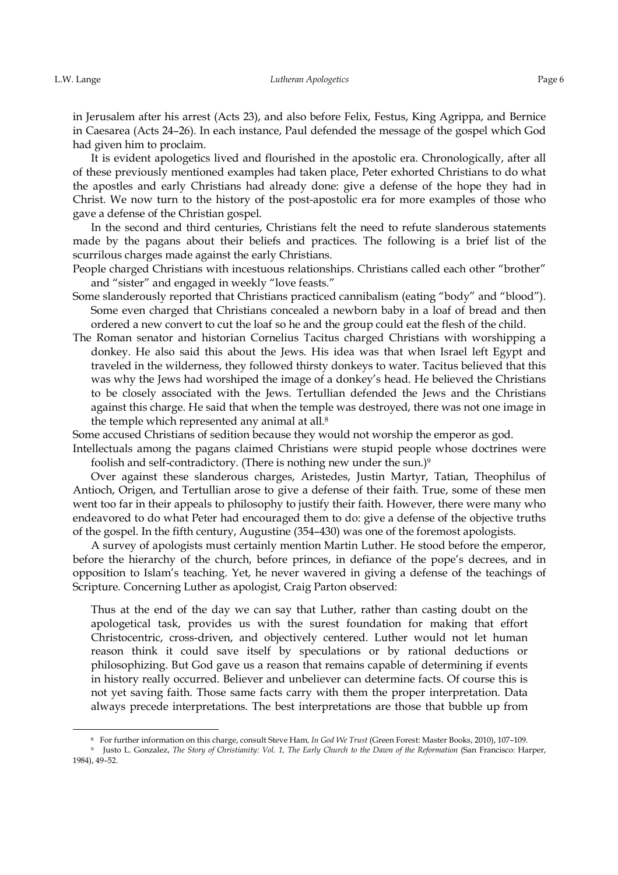-

in Jerusalem after his arrest (Acts 23), and also before Felix, Festus, King Agrippa, and Bernice in Caesarea (Acts 24–26). In each instance, Paul defended the message of the gospel which God had given him to proclaim.

It is evident apologetics lived and flourished in the apostolic era. Chronologically, after all of these previously mentioned examples had taken place, Peter exhorted Christians to do what the apostles and early Christians had already done: give a defense of the hope they had in Christ. We now turn to the history of the post-apostolic era for more examples of those who gave a defense of the Christian gospel.

In the second and third centuries, Christians felt the need to refute slanderous statements made by the pagans about their beliefs and practices. The following is a brief list of the scurrilous charges made against the early Christians.

People charged Christians with incestuous relationships. Christians called each other "brother" and "sister" and engaged in weekly "love feasts."

- Some slanderously reported that Christians practiced cannibalism (eating "body" and "blood"). Some even charged that Christians concealed a newborn baby in a loaf of bread and then ordered a new convert to cut the loaf so he and the group could eat the flesh of the child.
- The Roman senator and historian Cornelius Tacitus charged Christians with worshipping a donkey. He also said this about the Jews. His idea was that when Israel left Egypt and traveled in the wilderness, they followed thirsty donkeys to water. Tacitus believed that this was why the Jews had worshiped the image of a donkey's head. He believed the Christians to be closely associated with the Jews. Tertullian defended the Jews and the Christians against this charge. He said that when the temple was destroyed, there was not one image in the temple which represented any animal at all.<sup>8</sup>

Some accused Christians of sedition because they would not worship the emperor as god.

Intellectuals among the pagans claimed Christians were stupid people whose doctrines were foolish and self-contradictory. (There is nothing new under the sun.) $9$ 

Over against these slanderous charges, Aristedes, Justin Martyr, Tatian, Theophilus of Antioch, Origen, and Tertullian arose to give a defense of their faith. True, some of these men went too far in their appeals to philosophy to justify their faith. However, there were many who endeavored to do what Peter had encouraged them to do: give a defense of the objective truths of the gospel. In the fifth century, Augustine (354–430) was one of the foremost apologists.

A survey of apologists must certainly mention Martin Luther. He stood before the emperor, before the hierarchy of the church, before princes, in defiance of the pope's decrees, and in opposition to Islam's teaching. Yet, he never wavered in giving a defense of the teachings of Scripture. Concerning Luther as apologist, Craig Parton observed:

Thus at the end of the day we can say that Luther, rather than casting doubt on the apologetical task, provides us with the surest foundation for making that effort Christocentric, cross-driven, and objectively centered. Luther would not let human reason think it could save itself by speculations or by rational deductions or philosophizing. But God gave us a reason that remains capable of determining if events in history really occurred. Believer and unbeliever can determine facts. Of course this is not yet saving faith. Those same facts carry with them the proper interpretation. Data always precede interpretations. The best interpretations are those that bubble up from

<sup>8</sup>For further information on this charge, consult Steve Ham*, In God We Trust* (Green Forest: Master Books, 2010), 107–109*.*

<sup>9</sup>Justo L. Gonzalez, *The Story of Christianity: Vol. 1, The Early Church to the Dawn of the Reformation* (San Francisco: Harper, 1984), 49–52.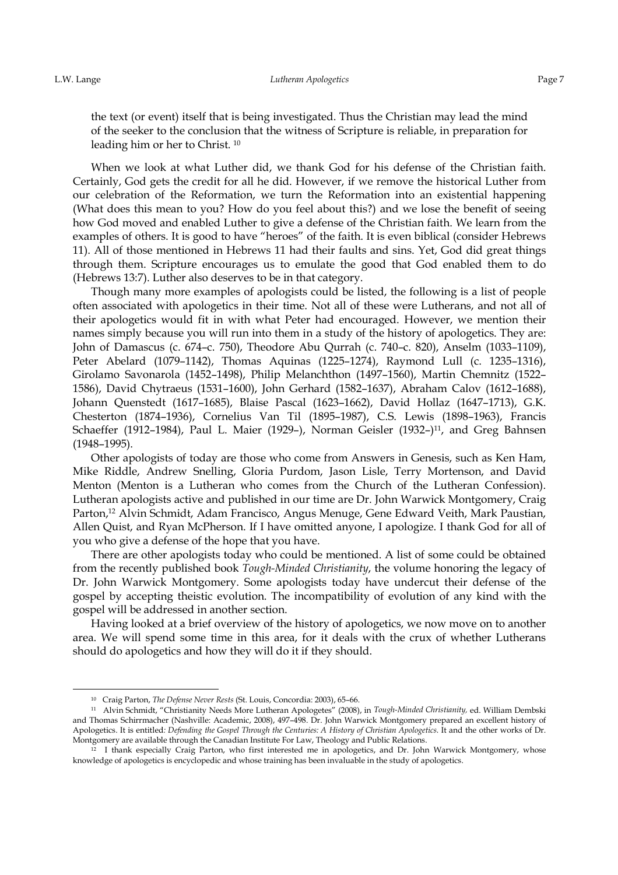<u>.</u>

the text (or event) itself that is being investigated. Thus the Christian may lead the mind of the seeker to the conclusion that the witness of Scripture is reliable, in preparation for leading him or her to Christ. <sup>10</sup>

When we look at what Luther did, we thank God for his defense of the Christian faith. Certainly, God gets the credit for all he did. However, if we remove the historical Luther from our celebration of the Reformation, we turn the Reformation into an existential happening (What does this mean to you? How do you feel about this?) and we lose the benefit of seeing how God moved and enabled Luther to give a defense of the Christian faith. We learn from the examples of others. It is good to have "heroes" of the faith. It is even biblical (consider Hebrews 11). All of those mentioned in Hebrews 11 had their faults and sins. Yet, God did great things through them. Scripture encourages us to emulate the good that God enabled them to do (Hebrews 13:7). Luther also deserves to be in that category.

Though many more examples of apologists could be listed, the following is a list of people often associated with apologetics in their time. Not all of these were Lutherans, and not all of their apologetics would fit in with what Peter had encouraged. However, we mention their names simply because you will run into them in a study of the history of apologetics. They are: John of Damascus (c. 674–c. 750), Theodore Abu Qurrah (c. 740–c. 820), Anselm (1033–1109), Peter Abelard (1079–1142), Thomas Aquinas (1225–1274), Raymond Lull (c. 1235–1316), Girolamo Savonarola (1452–1498), Philip Melanchthon (1497–1560), Martin Chemnitz (1522– 1586), David Chytraeus (1531–1600), John Gerhard (1582–1637), Abraham Calov (1612–1688), Johann Quenstedt (1617–1685), Blaise Pascal (1623–1662), David Hollaz (1647–1713), G.K. Chesterton (1874–1936), Cornelius Van Til (1895–1987), C.S. Lewis (1898–1963), Francis Schaeffer (1912–1984), Paul L. Maier (1929–), Norman Geisler (1932–)<sup>11</sup>, and Greg Bahnsen (1948–1995).

Other apologists of today are those who come from Answers in Genesis, such as Ken Ham, Mike Riddle, Andrew Snelling, Gloria Purdom, Jason Lisle, Terry Mortenson, and David Menton (Menton is a Lutheran who comes from the Church of the Lutheran Confession). Lutheran apologists active and published in our time are Dr. John Warwick Montgomery, Craig Parton,<sup>12</sup> Alvin Schmidt, Adam Francisco, Angus Menuge, Gene Edward Veith, Mark Paustian, Allen Quist, and Ryan McPherson. If I have omitted anyone, I apologize. I thank God for all of you who give a defense of the hope that you have.

There are other apologists today who could be mentioned. A list of some could be obtained from the recently published book *Tough-Minded Christianity*, the volume honoring the legacy of Dr. John Warwick Montgomery. Some apologists today have undercut their defense of the gospel by accepting theistic evolution. The incompatibility of evolution of any kind with the gospel will be addressed in another section.

Having looked at a brief overview of the history of apologetics, we now move on to another area. We will spend some time in this area, for it deals with the crux of whether Lutherans should do apologetics and how they will do it if they should.

<sup>&</sup>lt;sup>10</sup> Craig Parton, *The Defense Never Rests* (St. Louis, Concordia: 2003), 65-66.

<sup>11</sup>Alvin Schmidt, "Christianity Needs More Lutheran Apologetes" (2008), in *Tough-Minded Christianity,* ed. William Dembski and Thomas Schirrmacher (Nashville: Academic, 2008), 497–498. Dr. John Warwick Montgomery prepared an excellent history of Apologetics. It is entitled*: Defending the Gospel Through the Centuries: A History of Christian Apologetics.* It and the other works of Dr. Montgomery are available through the Canadian Institute For Law, Theology and Public Relations.

<sup>&</sup>lt;sup>12</sup> I thank especially Craig Parton, who first interested me in apologetics, and Dr. John Warwick Montgomery, whose knowledge of apologetics is encyclopedic and whose training has been invaluable in the study of apologetics.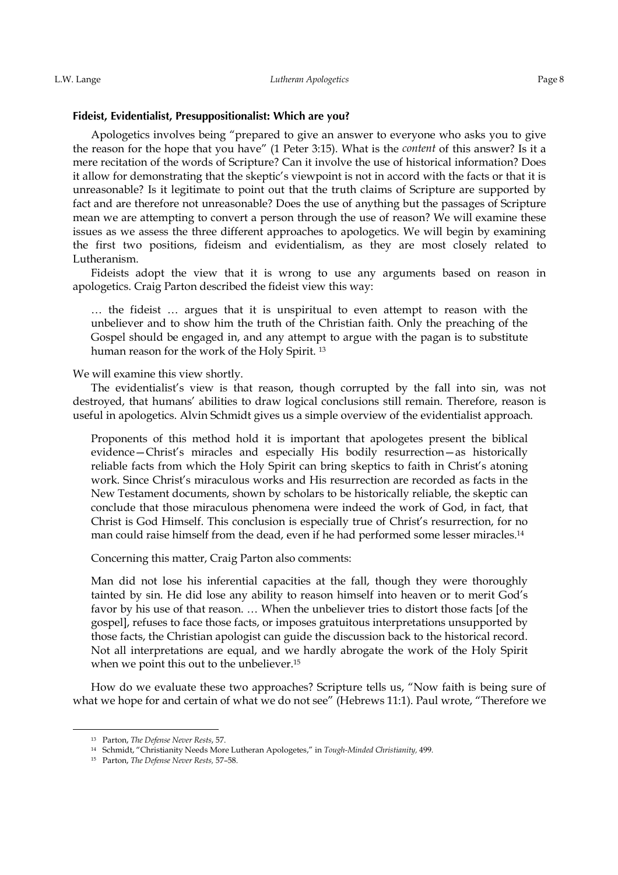#### Fideist, Evidentialist, Presuppositionalist: Which are you?

Apologetics involves being "prepared to give an answer to everyone who asks you to give the reason for the hope that you have" (1 Peter 3:15). What is the *content* of this answer? Is it a mere recitation of the words of Scripture? Can it involve the use of historical information? Does it allow for demonstrating that the skeptic's viewpoint is not in accord with the facts or that it is unreasonable? Is it legitimate to point out that the truth claims of Scripture are supported by fact and are therefore not unreasonable? Does the use of anything but the passages of Scripture mean we are attempting to convert a person through the use of reason? We will examine these issues as we assess the three different approaches to apologetics. We will begin by examining the first two positions, fideism and evidentialism, as they are most closely related to Lutheranism.

Fideists adopt the view that it is wrong to use any arguments based on reason in apologetics. Craig Parton described the fideist view this way:

… the fideist … argues that it is unspiritual to even attempt to reason with the unbeliever and to show him the truth of the Christian faith. Only the preaching of the Gospel should be engaged in, and any attempt to argue with the pagan is to substitute human reason for the work of the Holy Spirit. <sup>13</sup>

We will examine this view shortly.

The evidentialist's view is that reason, though corrupted by the fall into sin, was not destroyed, that humans' abilities to draw logical conclusions still remain. Therefore, reason is useful in apologetics. Alvin Schmidt gives us a simple overview of the evidentialist approach.

Proponents of this method hold it is important that apologetes present the biblical evidence—Christ's miracles and especially His bodily resurrection—as historically reliable facts from which the Holy Spirit can bring skeptics to faith in Christ's atoning work. Since Christ's miraculous works and His resurrection are recorded as facts in the New Testament documents, shown by scholars to be historically reliable, the skeptic can conclude that those miraculous phenomena were indeed the work of God, in fact, that Christ is God Himself. This conclusion is especially true of Christ's resurrection, for no man could raise himself from the dead, even if he had performed some lesser miracles.<sup>14</sup>

Concerning this matter, Craig Parton also comments:

Man did not lose his inferential capacities at the fall, though they were thoroughly tainted by sin. He did lose any ability to reason himself into heaven or to merit God's favor by his use of that reason. … When the unbeliever tries to distort those facts [of the gospel], refuses to face those facts, or imposes gratuitous interpretations unsupported by those facts, the Christian apologist can guide the discussion back to the historical record. Not all interpretations are equal, and we hardly abrogate the work of the Holy Spirit when we point this out to the unbeliever.<sup>15</sup>

How do we evaluate these two approaches? Scripture tells us, "Now faith is being sure of what we hope for and certain of what we do not see" (Hebrews 11:1). Paul wrote, "Therefore we

<sup>&</sup>lt;sup>13</sup> Parton, *The Defense Never Rests*, 57.

<sup>14</sup>Schmidt, "Christianity Needs More Lutheran Apologetes," in *Tough-Minded Christianity,* 499*.*

<sup>15</sup> Parton, *The Defense Never Rests,* 57–58.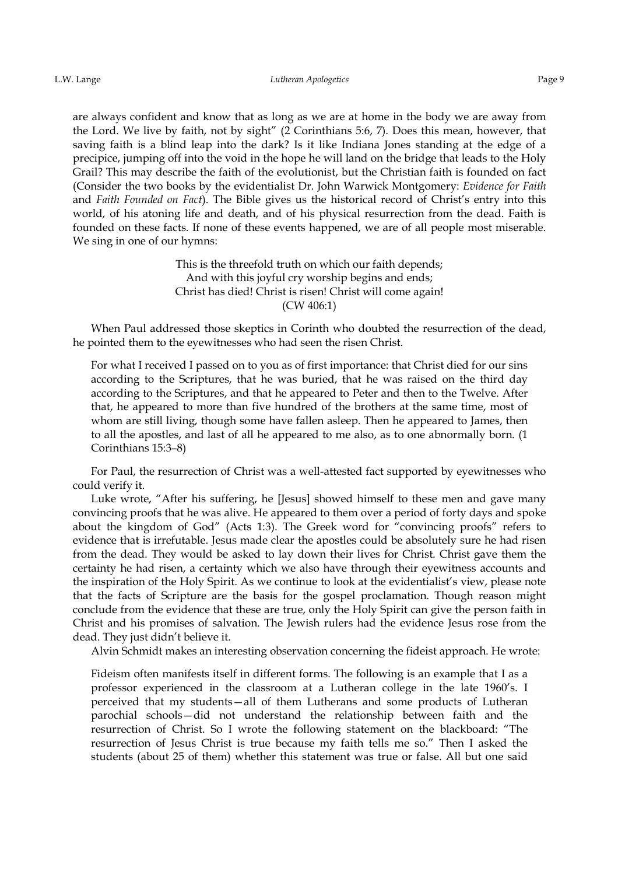are always confident and know that as long as we are at home in the body we are away from the Lord. We live by faith, not by sight" (2 Corinthians 5:6, 7). Does this mean, however, that saving faith is a blind leap into the dark? Is it like Indiana Jones standing at the edge of a precipice, jumping off into the void in the hope he will land on the bridge that leads to the Holy Grail? This may describe the faith of the evolutionist, but the Christian faith is founded on fact (Consider the two books by the evidentialist Dr. John Warwick Montgomery: *Evidence for Faith* and *Faith Founded on Fact*). The Bible gives us the historical record of Christ's entry into this world, of his atoning life and death, and of his physical resurrection from the dead. Faith is founded on these facts. If none of these events happened, we are of all people most miserable. We sing in one of our hymns:

> This is the threefold truth on which our faith depends; And with this joyful cry worship begins and ends; Christ has died! Christ is risen! Christ will come again! (CW 406:1)

When Paul addressed those skeptics in Corinth who doubted the resurrection of the dead, he pointed them to the eyewitnesses who had seen the risen Christ.

For what I received I passed on to you as of first importance: that Christ died for our sins according to the Scriptures, that he was buried, that he was raised on the third day according to the Scriptures, and that he appeared to Peter and then to the Twelve. After that, he appeared to more than five hundred of the brothers at the same time, most of whom are still living, though some have fallen asleep. Then he appeared to James, then to all the apostles, and last of all he appeared to me also, as to one abnormally born. (1 Corinthians 15:3–8)

For Paul, the resurrection of Christ was a well-attested fact supported by eyewitnesses who could verify it.

Luke wrote, "After his suffering, he [Jesus] showed himself to these men and gave many convincing proofs that he was alive. He appeared to them over a period of forty days and spoke about the kingdom of God" (Acts 1:3). The Greek word for "convincing proofs" refers to evidence that is irrefutable. Jesus made clear the apostles could be absolutely sure he had risen from the dead. They would be asked to lay down their lives for Christ. Christ gave them the certainty he had risen, a certainty which we also have through their eyewitness accounts and the inspiration of the Holy Spirit. As we continue to look at the evidentialist's view, please note that the facts of Scripture are the basis for the gospel proclamation. Though reason might conclude from the evidence that these are true, only the Holy Spirit can give the person faith in Christ and his promises of salvation. The Jewish rulers had the evidence Jesus rose from the dead. They just didn't believe it.

Alvin Schmidt makes an interesting observation concerning the fideist approach. He wrote:

Fideism often manifests itself in different forms. The following is an example that I as a professor experienced in the classroom at a Lutheran college in the late 1960's. I perceived that my students—all of them Lutherans and some products of Lutheran parochial schools—did not understand the relationship between faith and the resurrection of Christ. So I wrote the following statement on the blackboard: "The resurrection of Jesus Christ is true because my faith tells me so." Then I asked the students (about 25 of them) whether this statement was true or false. All but one said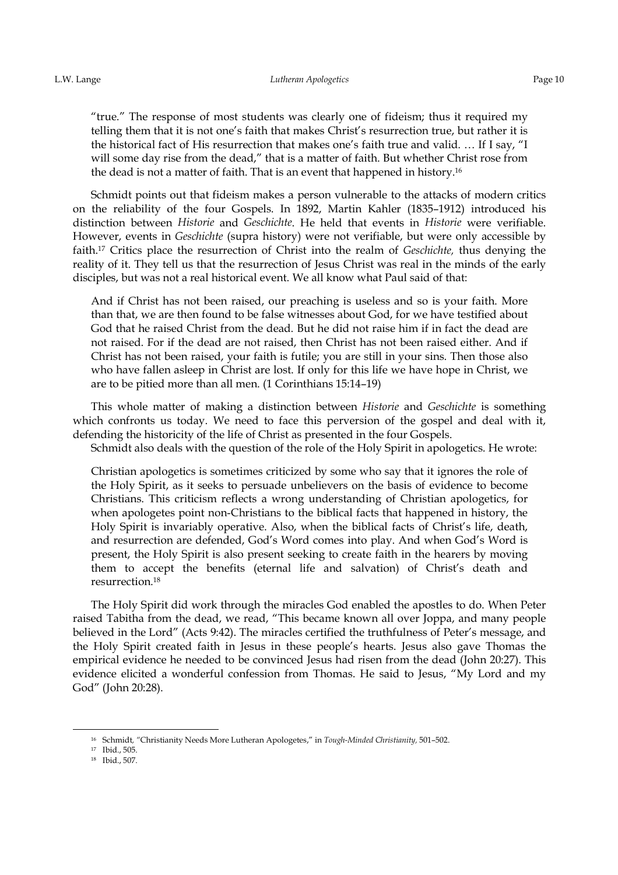"true." The response of most students was clearly one of fideism; thus it required my telling them that it is not one's faith that makes Christ's resurrection true, but rather it is the historical fact of His resurrection that makes one's faith true and valid. … If I say, "I will some day rise from the dead," that is a matter of faith. But whether Christ rose from the dead is not a matter of faith. That is an event that happened in history.<sup>16</sup>

Schmidt points out that fideism makes a person vulnerable to the attacks of modern critics on the reliability of the four Gospels. In 1892, Martin Kahler (1835–1912) introduced his distinction between *Historie* and *Geschichte*. He held that events in *Historie* were verifiable. However, events in *Geschichte* (supra history) were not verifiable, but were only accessible by faith.17 Critics place the resurrection of Christ into the realm of *Geschichte,* thus denying the reality of it. They tell us that the resurrection of Jesus Christ was real in the minds of the early disciples, but was not a real historical event. We all know what Paul said of that:

And if Christ has not been raised, our preaching is useless and so is your faith. More than that, we are then found to be false witnesses about God, for we have testified about God that he raised Christ from the dead. But he did not raise him if in fact the dead are not raised. For if the dead are not raised, then Christ has not been raised either. And if Christ has not been raised, your faith is futile; you are still in your sins. Then those also who have fallen asleep in Christ are lost. If only for this life we have hope in Christ, we are to be pitied more than all men. (1 Corinthians 15:14–19)

This whole matter of making a distinction between *Historie* and *Geschichte* is something which confronts us today. We need to face this perversion of the gospel and deal with it, defending the historicity of the life of Christ as presented in the four Gospels.

Schmidt also deals with the question of the role of the Holy Spirit in apologetics. He wrote:

Christian apologetics is sometimes criticized by some who say that it ignores the role of the Holy Spirit, as it seeks to persuade unbelievers on the basis of evidence to become Christians. This criticism reflects a wrong understanding of Christian apologetics, for when apologetes point non-Christians to the biblical facts that happened in history, the Holy Spirit is invariably operative. Also, when the biblical facts of Christ's life, death, and resurrection are defended, God's Word comes into play. And when God's Word is present, the Holy Spirit is also present seeking to create faith in the hearers by moving them to accept the benefits (eternal life and salvation) of Christ's death and resurrection.<sup>18</sup>

The Holy Spirit did work through the miracles God enabled the apostles to do. When Peter raised Tabitha from the dead, we read, "This became known all over Joppa, and many people believed in the Lord" (Acts 9:42). The miracles certified the truthfulness of Peter's message, and the Holy Spirit created faith in Jesus in these people's hearts. Jesus also gave Thomas the empirical evidence he needed to be convinced Jesus had risen from the dead (John 20:27). This evidence elicited a wonderful confession from Thomas. He said to Jesus, "My Lord and my God" (John 20:28).

<sup>&</sup>lt;sup>16</sup> Schmidt, "Christianity Needs More Lutheran Apologetes," in *Tough-Minded Christianity*, 501-502.

<sup>&</sup>lt;sup>17</sup> Ibid., 505.

<sup>18</sup> Ibid., 507.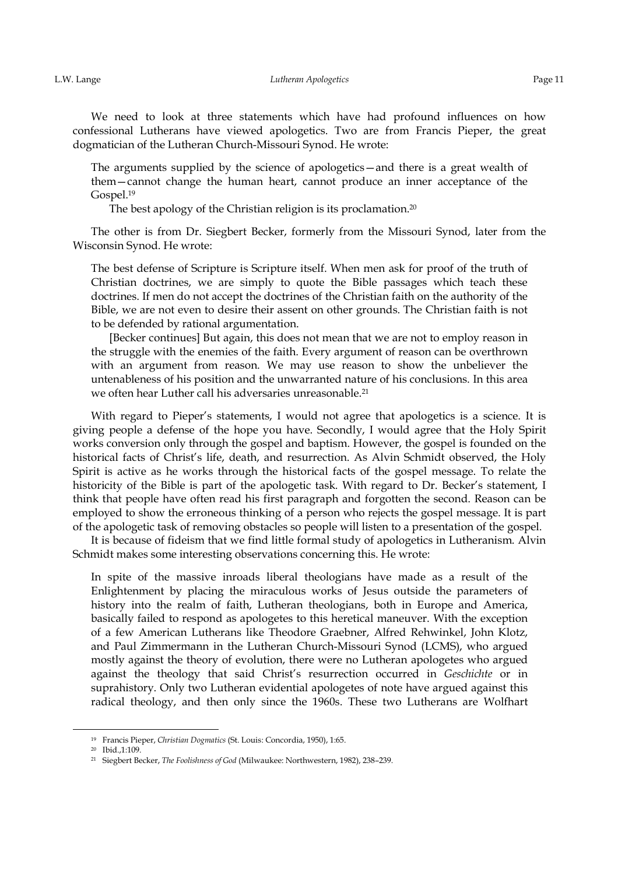We need to look at three statements which have had profound influences on how confessional Lutherans have viewed apologetics. Two are from Francis Pieper, the great dogmatician of the Lutheran Church-Missouri Synod. He wrote:

The arguments supplied by the science of apologetics—and there is a great wealth of them—cannot change the human heart, cannot produce an inner acceptance of the Gospel.<sup>19</sup>

The best apology of the Christian religion is its proclamation.<sup>20</sup>

The other is from Dr. Siegbert Becker, formerly from the Missouri Synod, later from the Wisconsin Synod. He wrote:

The best defense of Scripture is Scripture itself. When men ask for proof of the truth of Christian doctrines, we are simply to quote the Bible passages which teach these doctrines. If men do not accept the doctrines of the Christian faith on the authority of the Bible, we are not even to desire their assent on other grounds. The Christian faith is not to be defended by rational argumentation.

[Becker continues] But again, this does not mean that we are not to employ reason in the struggle with the enemies of the faith. Every argument of reason can be overthrown with an argument from reason. We may use reason to show the unbeliever the untenableness of his position and the unwarranted nature of his conclusions. In this area we often hear Luther call his adversaries unreasonable.<sup>21</sup>

With regard to Pieper's statements, I would not agree that apologetics is a science. It is giving people a defense of the hope you have. Secondly, I would agree that the Holy Spirit works conversion only through the gospel and baptism. However, the gospel is founded on the historical facts of Christ's life, death, and resurrection. As Alvin Schmidt observed, the Holy Spirit is active as he works through the historical facts of the gospel message. To relate the historicity of the Bible is part of the apologetic task. With regard to Dr. Becker's statement, I think that people have often read his first paragraph and forgotten the second. Reason can be employed to show the erroneous thinking of a person who rejects the gospel message. It is part of the apologetic task of removing obstacles so people will listen to a presentation of the gospel.

It is because of fideism that we find little formal study of apologetics in Lutheranism. Alvin Schmidt makes some interesting observations concerning this. He wrote:

In spite of the massive inroads liberal theologians have made as a result of the Enlightenment by placing the miraculous works of Jesus outside the parameters of history into the realm of faith, Lutheran theologians, both in Europe and America, basically failed to respond as apologetes to this heretical maneuver. With the exception of a few American Lutherans like Theodore Graebner, Alfred Rehwinkel, John Klotz, and Paul Zimmermann in the Lutheran Church-Missouri Synod (LCMS), who argued mostly against the theory of evolution, there were no Lutheran apologetes who argued against the theology that said Christ's resurrection occurred in *Geschichte* or in suprahistory. Only two Lutheran evidential apologetes of note have argued against this radical theology, and then only since the 1960s. These two Lutherans are Wolfhart

<sup>&</sup>lt;sup>19</sup> Francis Pieper, *Christian Dogmatics* (St. Louis: Concordia, 1950), 1:65.

<sup>&</sup>lt;sup>20</sup> Ibid.,1:109.

<sup>21</sup> Siegbert Becker, *The Foolishness of God* (Milwaukee: Northwestern, 1982), 238–239.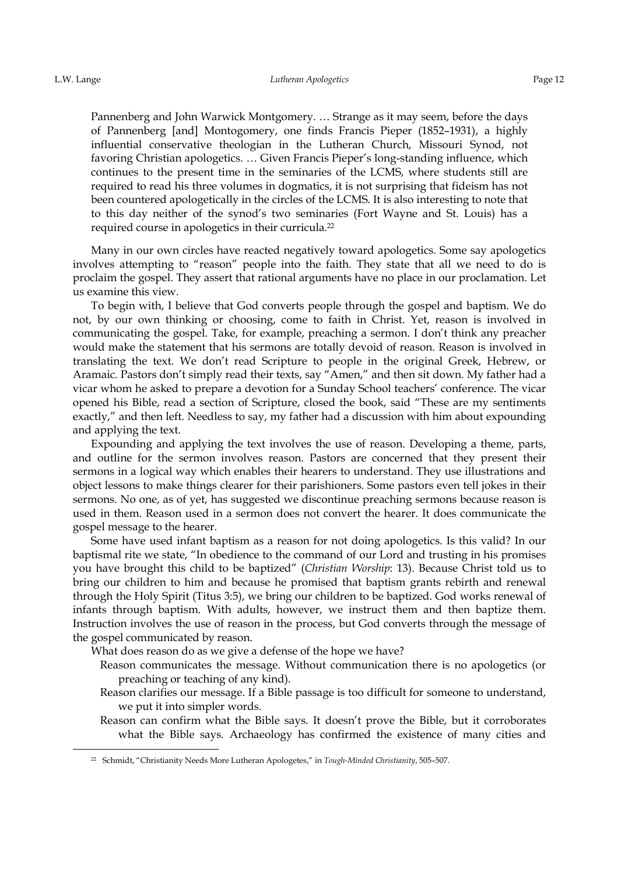<u>.</u>

Pannenberg and John Warwick Montgomery. … Strange as it may seem, before the days of Pannenberg [and] Montogomery, one finds Francis Pieper (1852–1931), a highly influential conservative theologian in the Lutheran Church, Missouri Synod, not favoring Christian apologetics. … Given Francis Pieper's long-standing influence, which continues to the present time in the seminaries of the LCMS, where students still are required to read his three volumes in dogmatics, it is not surprising that fideism has not been countered apologetically in the circles of the LCMS. It is also interesting to note that to this day neither of the synod's two seminaries (Fort Wayne and St. Louis) has a required course in apologetics in their curricula.<sup>22</sup>

Many in our own circles have reacted negatively toward apologetics. Some say apologetics involves attempting to "reason" people into the faith. They state that all we need to do is proclaim the gospel. They assert that rational arguments have no place in our proclamation. Let us examine this view.

To begin with, I believe that God converts people through the gospel and baptism. We do not, by our own thinking or choosing, come to faith in Christ. Yet, reason is involved in communicating the gospel. Take, for example, preaching a sermon. I don't think any preacher would make the statement that his sermons are totally devoid of reason. Reason is involved in translating the text. We don't read Scripture to people in the original Greek, Hebrew, or Aramaic. Pastors don't simply read their texts, say "Amen," and then sit down. My father had a vicar whom he asked to prepare a devotion for a Sunday School teachers' conference. The vicar opened his Bible, read a section of Scripture, closed the book, said "These are my sentiments exactly," and then left. Needless to say, my father had a discussion with him about expounding and applying the text.

Expounding and applying the text involves the use of reason. Developing a theme, parts, and outline for the sermon involves reason. Pastors are concerned that they present their sermons in a logical way which enables their hearers to understand. They use illustrations and object lessons to make things clearer for their parishioners. Some pastors even tell jokes in their sermons. No one, as of yet, has suggested we discontinue preaching sermons because reason is used in them. Reason used in a sermon does not convert the hearer. It does communicate the gospel message to the hearer.

Some have used infant baptism as a reason for not doing apologetics. Is this valid? In our baptismal rite we state, "In obedience to the command of our Lord and trusting in his promises you have brought this child to be baptized" (*Christian Worship*: 13). Because Christ told us to bring our children to him and because he promised that baptism grants rebirth and renewal through the Holy Spirit (Titus 3:5), we bring our children to be baptized. God works renewal of infants through baptism. With adults, however, we instruct them and then baptize them. Instruction involves the use of reason in the process, but God converts through the message of the gospel communicated by reason.

What does reason do as we give a defense of the hope we have?

- Reason communicates the message. Without communication there is no apologetics (or preaching or teaching of any kind).
- Reason clarifies our message. If a Bible passage is too difficult for someone to understand, we put it into simpler words.
- Reason can confirm what the Bible says. It doesn't prove the Bible, but it corroborates what the Bible says. Archaeology has confirmed the existence of many cities and

<sup>22</sup> Schmidt, "Christianity Needs More Lutheran Apologetes," in *Tough-Minded Christianity*, 505–507.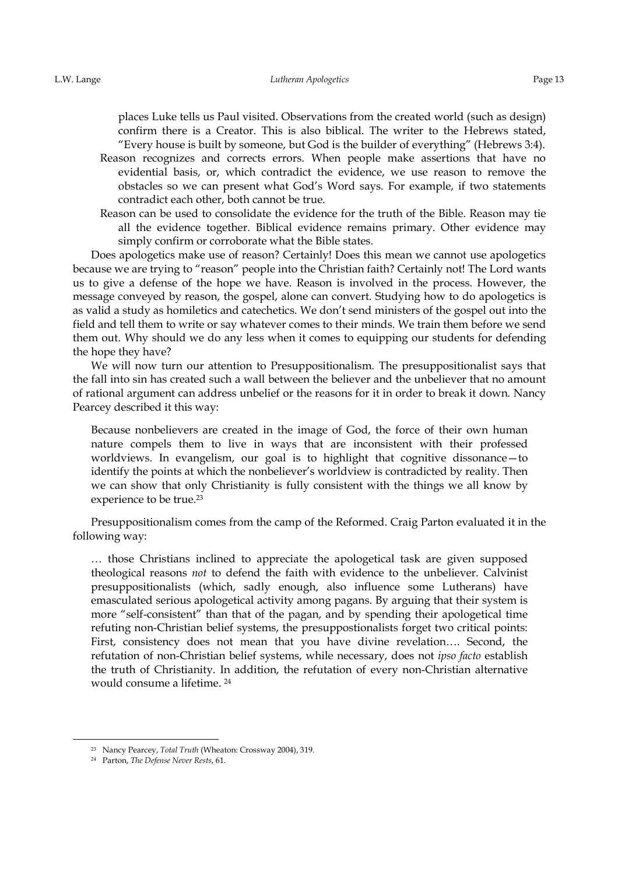places Luke tells us Paul visited. Observations from the created world (such as design) confirm there is a Creator. This is also biblical. The writer to the Hebrews stated, "Every house is built by someone, but God is the builder of everything" (Hebrews 3:4).

- Reason recognizes and corrects errors. When people make assertions that have no evidential basis, or, which contradict the evidence, we use reason to remove the obstacles so we can present what God's Word says. For example, if two statements contradict each other, both cannot be true.
- Reason can be used to consolidate the evidence for the truth of the Bible. Reason may tie all the evidence together. Biblical evidence remains primary. Other evidence may simply confirm or corroborate what the Bible states.

Does apologetics make use of reason? Certainly! Does this mean we cannot use apologetics because we are trying to "reason" people into the Christian faith? Certainly not! The Lord wants us to give a defense of the hope we have. Reason is involved in the process. However, the message conveyed by reason, the gospel, alone can convert. Studying how to do apologetics is as valid a study as homiletics and catechetics. We don't send ministers of the gospel out into the field and tell them to write or say whatever comes to their minds. We train them before we send them out. Why should we do any less when it comes to equipping our students for defending the hope they have?

We will now turn our attention to Presuppositionalism. The presuppositionalist says that the fall into sin has created such a wall between the believer and the unbeliever that no amount of rational argument can address unbelief or the reasons for it in order to break it down. Nancy Pearcey described it this way:

Because nonbelievers are created in the image of God, the force of their own human nature compels them to live in ways that are inconsistent with their professed worldviews. In evangelism, our goal is to highlight that cognitive dissonance—to identify the points at which the nonbeliever's worldview is contradicted by reality. Then we can show that only Christianity is fully consistent with the things we all know by experience to be true.<sup>23</sup>

Presuppositionalism comes from the camp of the Reformed. Craig Parton evaluated it in the following way:

… those Christians inclined to appreciate the apologetical task are given supposed theological reasons *not* to defend the faith with evidence to the unbeliever. Calvinist presuppositionalists (which, sadly enough, also influence some Lutherans) have emasculated serious apologetical activity among pagans. By arguing that their system is more "self-consistent" than that of the pagan, and by spending their apologetical time refuting non-Christian belief systems, the presuppostionalists forget two critical points: First, consistency does not mean that you have divine revelation…. Second, the refutation of non-Christian belief systems, while necessary, does not *ipso facto* establish the truth of Christianity. In addition, the refutation of every non-Christian alternative would consume a lifetime. <sup>24</sup>

<u>.</u>

<sup>&</sup>lt;sup>23</sup> Nancy Pearcey, *Total Truth* (Wheaton: Crossway 2004), 319.

<sup>24</sup> Parton, *The Defense Never Rests*, 61.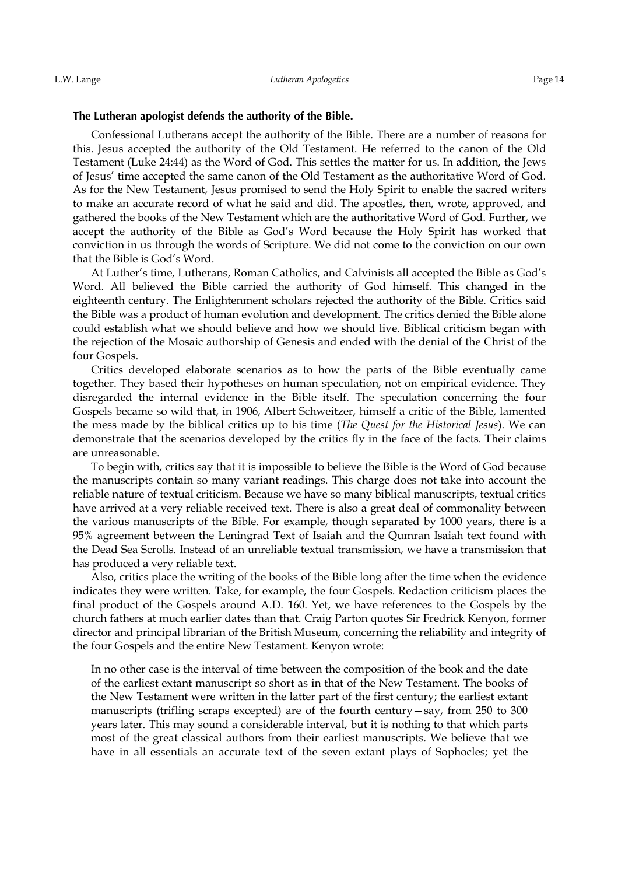#### The Lutheran apologist defends the authority of the Bible.

Confessional Lutherans accept the authority of the Bible. There are a number of reasons for this. Jesus accepted the authority of the Old Testament. He referred to the canon of the Old Testament (Luke 24:44) as the Word of God. This settles the matter for us. In addition, the Jews of Jesus' time accepted the same canon of the Old Testament as the authoritative Word of God. As for the New Testament, Jesus promised to send the Holy Spirit to enable the sacred writers to make an accurate record of what he said and did. The apostles, then, wrote, approved, and gathered the books of the New Testament which are the authoritative Word of God. Further, we accept the authority of the Bible as God's Word because the Holy Spirit has worked that conviction in us through the words of Scripture. We did not come to the conviction on our own that the Bible is God's Word.

At Luther's time, Lutherans, Roman Catholics, and Calvinists all accepted the Bible as God's Word. All believed the Bible carried the authority of God himself. This changed in the eighteenth century. The Enlightenment scholars rejected the authority of the Bible. Critics said the Bible was a product of human evolution and development. The critics denied the Bible alone could establish what we should believe and how we should live. Biblical criticism began with the rejection of the Mosaic authorship of Genesis and ended with the denial of the Christ of the four Gospels.

Critics developed elaborate scenarios as to how the parts of the Bible eventually came together. They based their hypotheses on human speculation, not on empirical evidence. They disregarded the internal evidence in the Bible itself. The speculation concerning the four Gospels became so wild that, in 1906, Albert Schweitzer, himself a critic of the Bible, lamented the mess made by the biblical critics up to his time (*The Quest for the Historical Jesus*). We can demonstrate that the scenarios developed by the critics fly in the face of the facts. Their claims are unreasonable.

To begin with, critics say that it is impossible to believe the Bible is the Word of God because the manuscripts contain so many variant readings. This charge does not take into account the reliable nature of textual criticism. Because we have so many biblical manuscripts, textual critics have arrived at a very reliable received text. There is also a great deal of commonality between the various manuscripts of the Bible. For example, though separated by 1000 years, there is a 95% agreement between the Leningrad Text of Isaiah and the Qumran Isaiah text found with the Dead Sea Scrolls. Instead of an unreliable textual transmission, we have a transmission that has produced a very reliable text.

Also, critics place the writing of the books of the Bible long after the time when the evidence indicates they were written. Take, for example, the four Gospels. Redaction criticism places the final product of the Gospels around A.D. 160. Yet, we have references to the Gospels by the church fathers at much earlier dates than that. Craig Parton quotes Sir Fredrick Kenyon, former director and principal librarian of the British Museum, concerning the reliability and integrity of the four Gospels and the entire New Testament. Kenyon wrote:

In no other case is the interval of time between the composition of the book and the date of the earliest extant manuscript so short as in that of the New Testament. The books of the New Testament were written in the latter part of the first century; the earliest extant manuscripts (trifling scraps excepted) are of the fourth century—say, from 250 to 300 years later. This may sound a considerable interval, but it is nothing to that which parts most of the great classical authors from their earliest manuscripts. We believe that we have in all essentials an accurate text of the seven extant plays of Sophocles; yet the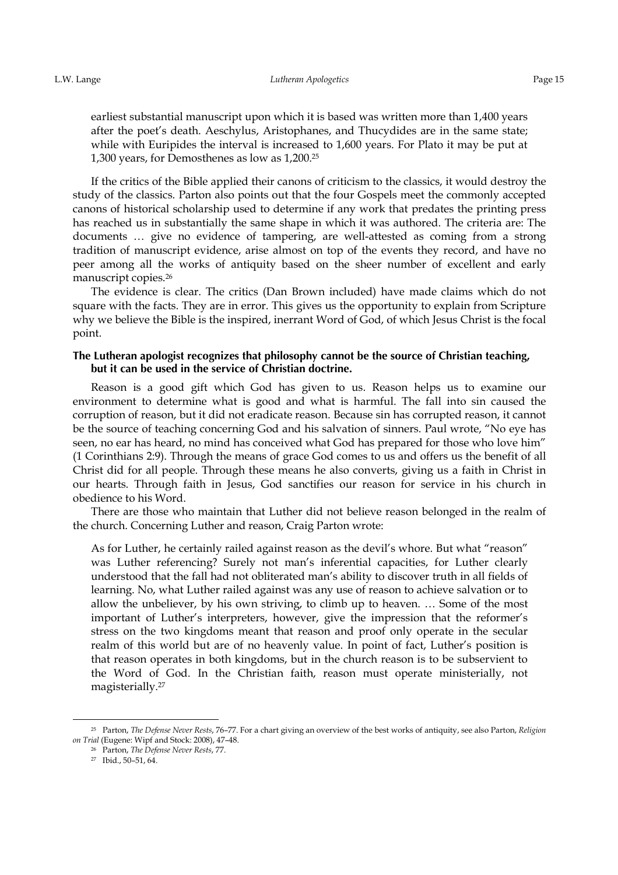earliest substantial manuscript upon which it is based was written more than 1,400 years after the poet's death. Aeschylus, Aristophanes, and Thucydides are in the same state; while with Euripides the interval is increased to 1,600 years. For Plato it may be put at 1,300 years, for Demosthenes as low as 1,200.<sup>25</sup>

If the critics of the Bible applied their canons of criticism to the classics, it would destroy the study of the classics. Parton also points out that the four Gospels meet the commonly accepted canons of historical scholarship used to determine if any work that predates the printing press has reached us in substantially the same shape in which it was authored. The criteria are: The documents … give no evidence of tampering, are well-attested as coming from a strong tradition of manuscript evidence, arise almost on top of the events they record, and have no peer among all the works of antiquity based on the sheer number of excellent and early manuscript copies.<sup>26</sup>

The evidence is clear. The critics (Dan Brown included) have made claims which do not square with the facts. They are in error. This gives us the opportunity to explain from Scripture why we believe the Bible is the inspired, inerrant Word of God, of which Jesus Christ is the focal point.

### The Lutheran apologist recognizes that philosophy cannot be the source of Christian teaching, but it can be used in the service of Christian doctrine.

Reason is a good gift which God has given to us. Reason helps us to examine our environment to determine what is good and what is harmful. The fall into sin caused the corruption of reason, but it did not eradicate reason. Because sin has corrupted reason, it cannot be the source of teaching concerning God and his salvation of sinners. Paul wrote, "No eye has seen, no ear has heard, no mind has conceived what God has prepared for those who love him" (1 Corinthians 2:9). Through the means of grace God comes to us and offers us the benefit of all Christ did for all people. Through these means he also converts, giving us a faith in Christ in our hearts. Through faith in Jesus, God sanctifies our reason for service in his church in obedience to his Word.

There are those who maintain that Luther did not believe reason belonged in the realm of the church. Concerning Luther and reason, Craig Parton wrote:

As for Luther, he certainly railed against reason as the devil's whore. But what "reason" was Luther referencing? Surely not man's inferential capacities, for Luther clearly understood that the fall had not obliterated man's ability to discover truth in all fields of learning. No, what Luther railed against was any use of reason to achieve salvation or to allow the unbeliever, by his own striving, to climb up to heaven. … Some of the most important of Luther's interpreters, however, give the impression that the reformer's stress on the two kingdoms meant that reason and proof only operate in the secular realm of this world but are of no heavenly value. In point of fact, Luther's position is that reason operates in both kingdoms, but in the church reason is to be subservient to the Word of God. In the Christian faith, reason must operate ministerially, not magisterially.<sup>27</sup>

<sup>&</sup>lt;sup>25</sup> Parton, *The Defense Never Rests*, 76–77. For a chart giving an overview of the best works of antiquity, see also Parton, *Religion on Trial* (Eugene: Wipf and Stock: 2008), 47–48.

<sup>&</sup>lt;sup>26</sup> Parton, *The Defense Never Rests*, 77.

<sup>27</sup> Ibid., 50–51, 64.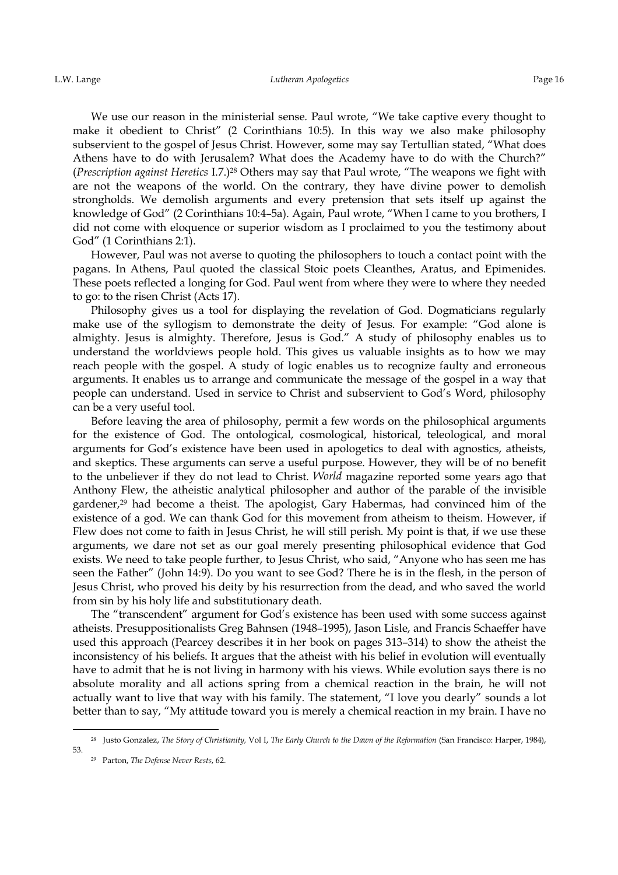We use our reason in the ministerial sense. Paul wrote, "We take captive every thought to make it obedient to Christ" (2 Corinthians 10:5). In this way we also make philosophy subservient to the gospel of Jesus Christ. However, some may say Tertullian stated, "What does Athens have to do with Jerusalem? What does the Academy have to do with the Church?" (*Prescription against Heretics* I.7.)<sup>28</sup> Others may say that Paul wrote, "The weapons we fight with are not the weapons of the world. On the contrary, they have divine power to demolish strongholds. We demolish arguments and every pretension that sets itself up against the knowledge of God" (2 Corinthians 10:4–5a). Again, Paul wrote, "When I came to you brothers, I did not come with eloquence or superior wisdom as I proclaimed to you the testimony about God" (1 Corinthians 2:1).

However, Paul was not averse to quoting the philosophers to touch a contact point with the pagans. In Athens, Paul quoted the classical Stoic poets Cleanthes, Aratus, and Epimenides. These poets reflected a longing for God. Paul went from where they were to where they needed to go: to the risen Christ (Acts 17).

Philosophy gives us a tool for displaying the revelation of God. Dogmaticians regularly make use of the syllogism to demonstrate the deity of Jesus. For example: "God alone is almighty. Jesus is almighty. Therefore, Jesus is God." A study of philosophy enables us to understand the worldviews people hold. This gives us valuable insights as to how we may reach people with the gospel. A study of logic enables us to recognize faulty and erroneous arguments. It enables us to arrange and communicate the message of the gospel in a way that people can understand. Used in service to Christ and subservient to God's Word, philosophy can be a very useful tool.

Before leaving the area of philosophy, permit a few words on the philosophical arguments for the existence of God. The ontological, cosmological, historical, teleological, and moral arguments for God's existence have been used in apologetics to deal with agnostics, atheists, and skeptics. These arguments can serve a useful purpose. However, they will be of no benefit to the unbeliever if they do not lead to Christ. *World* magazine reported some years ago that Anthony Flew, the atheistic analytical philosopher and author of the parable of the invisible gardener,<sup>29</sup> had become a theist. The apologist, Gary Habermas, had convinced him of the existence of a god. We can thank God for this movement from atheism to theism. However, if Flew does not come to faith in Jesus Christ, he will still perish. My point is that, if we use these arguments, we dare not set as our goal merely presenting philosophical evidence that God exists. We need to take people further, to Jesus Christ, who said, "Anyone who has seen me has seen the Father" (John 14:9). Do you want to see God? There he is in the flesh, in the person of Jesus Christ, who proved his deity by his resurrection from the dead, and who saved the world from sin by his holy life and substitutionary death.

The "transcendent" argument for God's existence has been used with some success against atheists. Presuppositionalists Greg Bahnsen (1948–1995), Jason Lisle, and Francis Schaeffer have used this approach (Pearcey describes it in her book on pages 313–314) to show the atheist the inconsistency of his beliefs. It argues that the atheist with his belief in evolution will eventually have to admit that he is not living in harmony with his views. While evolution says there is no absolute morality and all actions spring from a chemical reaction in the brain, he will not actually want to live that way with his family. The statement, "I love you dearly" sounds a lot better than to say, "My attitude toward you is merely a chemical reaction in my brain. I have no

<sup>&</sup>lt;sup>28</sup> Justo Gonzalez, *The Story of Christianity*, Vol I, *The Early Church to the Dawn of the Reformation* (San Francisco: Harper, 1984), 53.

<sup>29</sup> Parton, *The Defense Never Rests*, 62.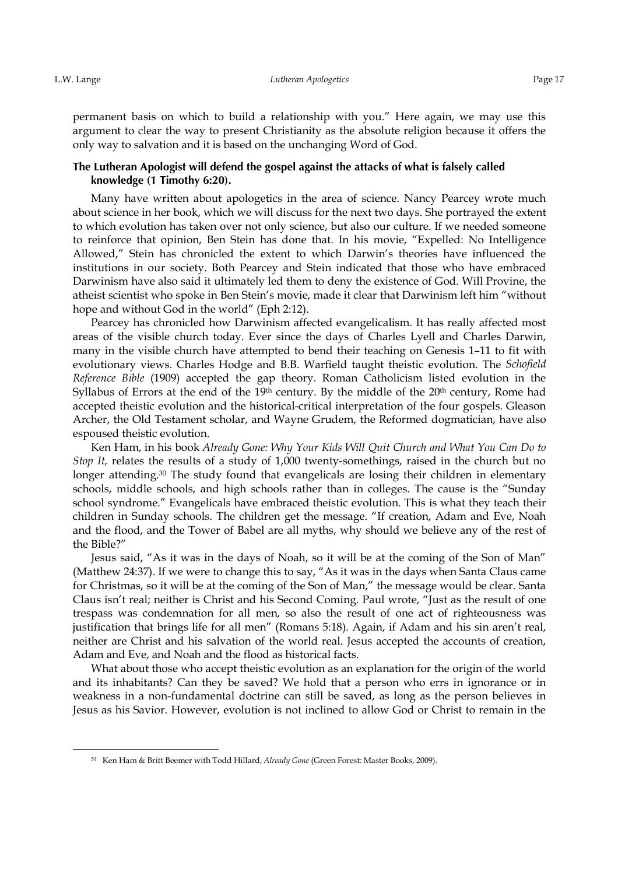<u>.</u>

permanent basis on which to build a relationship with you." Here again, we may use this argument to clear the way to present Christianity as the absolute religion because it offers the only way to salvation and it is based on the unchanging Word of God.

### The Lutheran Apologist will defend the gospel against the attacks of what is falsely called **knowledge** (1 Timothy 6:20).

Many have written about apologetics in the area of science. Nancy Pearcey wrote much about science in her book, which we will discuss for the next two days. She portrayed the extent to which evolution has taken over not only science, but also our culture. If we needed someone to reinforce that opinion, Ben Stein has done that. In his movie, "Expelled: No Intelligence Allowed," Stein has chronicled the extent to which Darwin's theories have influenced the institutions in our society. Both Pearcey and Stein indicated that those who have embraced Darwinism have also said it ultimately led them to deny the existence of God. Will Provine, the atheist scientist who spoke in Ben Stein's movie, made it clear that Darwinism left him "without hope and without God in the world" (Eph 2:12).

Pearcey has chronicled how Darwinism affected evangelicalism. It has really affected most areas of the visible church today. Ever since the days of Charles Lyell and Charles Darwin, many in the visible church have attempted to bend their teaching on Genesis 1–11 to fit with evolutionary views. Charles Hodge and B.B. Warfield taught theistic evolution. The *Schofield Reference Bible* (1909) accepted the gap theory. Roman Catholicism listed evolution in the Syllabus of Errors at the end of the 19<sup>th</sup> century. By the middle of the 20<sup>th</sup> century, Rome had accepted theistic evolution and the historical-critical interpretation of the four gospels. Gleason Archer, the Old Testament scholar, and Wayne Grudem, the Reformed dogmatician, have also espoused theistic evolution.

Ken Ham, in his book *Already Gone: Why Your Kids Will Quit Church and What You Can Do to Stop It,* relates the results of a study of 1,000 twenty-somethings, raised in the church but no longer attending.<sup>30</sup> The study found that evangelicals are losing their children in elementary schools, middle schools, and high schools rather than in colleges. The cause is the "Sunday school syndrome." Evangelicals have embraced theistic evolution. This is what they teach their children in Sunday schools. The children get the message. "If creation, Adam and Eve, Noah and the flood, and the Tower of Babel are all myths, why should we believe any of the rest of the Bible?"

Jesus said, "As it was in the days of Noah, so it will be at the coming of the Son of Man" (Matthew 24:37). If we were to change this to say, "As it was in the days when Santa Claus came for Christmas, so it will be at the coming of the Son of Man," the message would be clear. Santa Claus isn't real; neither is Christ and his Second Coming. Paul wrote, "Just as the result of one trespass was condemnation for all men, so also the result of one act of righteousness was justification that brings life for all men" (Romans 5:18). Again, if Adam and his sin aren't real, neither are Christ and his salvation of the world real. Jesus accepted the accounts of creation, Adam and Eve, and Noah and the flood as historical facts.

What about those who accept theistic evolution as an explanation for the origin of the world and its inhabitants? Can they be saved? We hold that a person who errs in ignorance or in weakness in a non-fundamental doctrine can still be saved, as long as the person believes in Jesus as his Savior. However, evolution is not inclined to allow God or Christ to remain in the

<sup>30</sup> Ken Ham & Britt Beemer with Todd Hillard, *Already Gone* (Green Forest: Master Books, 2009).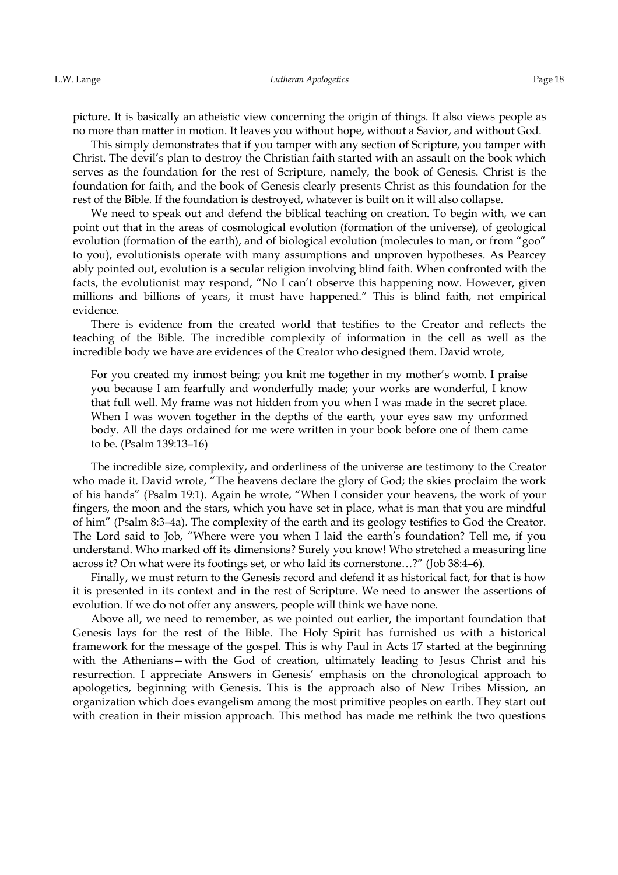picture. It is basically an atheistic view concerning the origin of things. It also views people as no more than matter in motion. It leaves you without hope, without a Savior, and without God.

This simply demonstrates that if you tamper with any section of Scripture, you tamper with Christ. The devil's plan to destroy the Christian faith started with an assault on the book which serves as the foundation for the rest of Scripture, namely, the book of Genesis. Christ is the foundation for faith, and the book of Genesis clearly presents Christ as this foundation for the rest of the Bible. If the foundation is destroyed, whatever is built on it will also collapse.

We need to speak out and defend the biblical teaching on creation. To begin with, we can point out that in the areas of cosmological evolution (formation of the universe), of geological evolution (formation of the earth), and of biological evolution (molecules to man, or from "goo" to you), evolutionists operate with many assumptions and unproven hypotheses. As Pearcey ably pointed out, evolution is a secular religion involving blind faith. When confronted with the facts, the evolutionist may respond, "No I can't observe this happening now. However, given millions and billions of years, it must have happened." This is blind faith, not empirical evidence.

There is evidence from the created world that testifies to the Creator and reflects the teaching of the Bible. The incredible complexity of information in the cell as well as the incredible body we have are evidences of the Creator who designed them. David wrote,

For you created my inmost being; you knit me together in my mother's womb. I praise you because I am fearfully and wonderfully made; your works are wonderful, I know that full well. My frame was not hidden from you when I was made in the secret place. When I was woven together in the depths of the earth, your eyes saw my unformed body. All the days ordained for me were written in your book before one of them came to be. (Psalm 139:13–16)

The incredible size, complexity, and orderliness of the universe are testimony to the Creator who made it. David wrote, "The heavens declare the glory of God; the skies proclaim the work of his hands" (Psalm 19:1). Again he wrote, "When I consider your heavens, the work of your fingers, the moon and the stars, which you have set in place, what is man that you are mindful of him" (Psalm 8:3–4a). The complexity of the earth and its geology testifies to God the Creator. The Lord said to Job, "Where were you when I laid the earth's foundation? Tell me, if you understand. Who marked off its dimensions? Surely you know! Who stretched a measuring line across it? On what were its footings set, or who laid its cornerstone…?" (Job 38:4–6).

Finally, we must return to the Genesis record and defend it as historical fact, for that is how it is presented in its context and in the rest of Scripture. We need to answer the assertions of evolution. If we do not offer any answers, people will think we have none.

Above all, we need to remember, as we pointed out earlier, the important foundation that Genesis lays for the rest of the Bible. The Holy Spirit has furnished us with a historical framework for the message of the gospel. This is why Paul in Acts 17 started at the beginning with the Athenians—with the God of creation, ultimately leading to Jesus Christ and his resurrection. I appreciate Answers in Genesis' emphasis on the chronological approach to apologetics, beginning with Genesis. This is the approach also of New Tribes Mission, an organization which does evangelism among the most primitive peoples on earth. They start out with creation in their mission approach. This method has made me rethink the two questions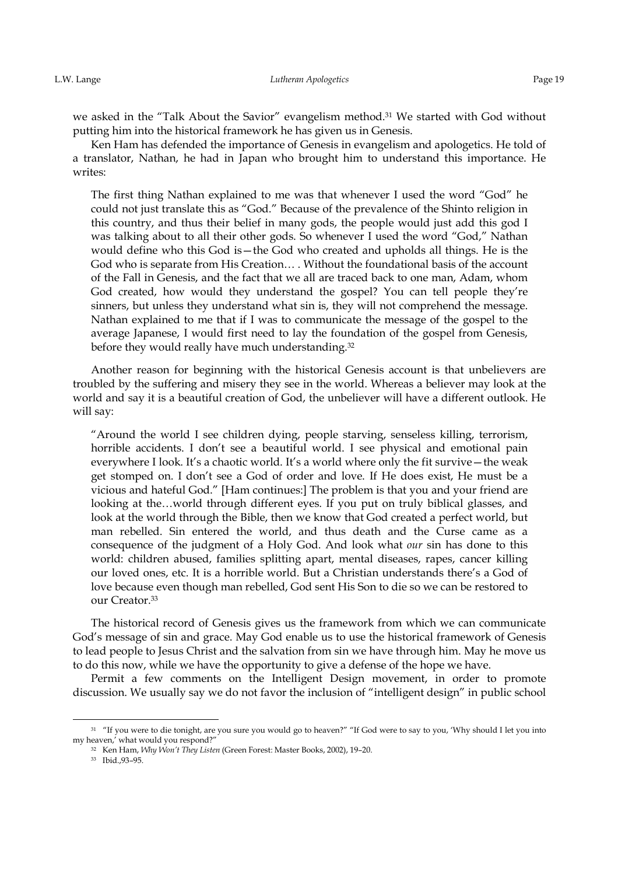we asked in the "Talk About the Savior" evangelism method.<sup>31</sup> We started with God without putting him into the historical framework he has given us in Genesis.

Ken Ham has defended the importance of Genesis in evangelism and apologetics. He told of a translator, Nathan, he had in Japan who brought him to understand this importance. He writes:

The first thing Nathan explained to me was that whenever I used the word "God" he could not just translate this as "God." Because of the prevalence of the Shinto religion in this country, and thus their belief in many gods, the people would just add this god I was talking about to all their other gods. So whenever I used the word "God," Nathan would define who this God is—the God who created and upholds all things. He is the God who is separate from His Creation… . Without the foundational basis of the account of the Fall in Genesis, and the fact that we all are traced back to one man, Adam, whom God created, how would they understand the gospel? You can tell people they're sinners, but unless they understand what sin is, they will not comprehend the message. Nathan explained to me that if I was to communicate the message of the gospel to the average Japanese, I would first need to lay the foundation of the gospel from Genesis, before they would really have much understanding.<sup>32</sup>

Another reason for beginning with the historical Genesis account is that unbelievers are troubled by the suffering and misery they see in the world. Whereas a believer may look at the world and say it is a beautiful creation of God, the unbeliever will have a different outlook. He will say:

"Around the world I see children dying, people starving, senseless killing, terrorism, horrible accidents. I don't see a beautiful world. I see physical and emotional pain everywhere I look. It's a chaotic world. It's a world where only the fit survive—the weak get stomped on. I don't see a God of order and love. If He does exist, He must be a vicious and hateful God." [Ham continues:] The problem is that you and your friend are looking at the…world through different eyes. If you put on truly biblical glasses, and look at the world through the Bible, then we know that God created a perfect world, but man rebelled. Sin entered the world, and thus death and the Curse came as a consequence of the judgment of a Holy God. And look what *our* sin has done to this world: children abused, families splitting apart, mental diseases, rapes, cancer killing our loved ones, etc. It is a horrible world. But a Christian understands there's a God of love because even though man rebelled, God sent His Son to die so we can be restored to our Creator.<sup>33</sup>

The historical record of Genesis gives us the framework from which we can communicate God's message of sin and grace. May God enable us to use the historical framework of Genesis to lead people to Jesus Christ and the salvation from sin we have through him. May he move us to do this now, while we have the opportunity to give a defense of the hope we have.

Permit a few comments on the Intelligent Design movement, in order to promote discussion. We usually say we do not favor the inclusion of "intelligent design" in public school

<sup>&</sup>lt;sup>31</sup> "If you were to die tonight, are you sure you would go to heaven?" "If God were to say to you, 'Why should I let you into my heaven,' what would you respond?"

<sup>&</sup>lt;sup>32</sup> Ken Ham, *Why Won't They Listen* (Green Forest: Master Books, 2002), 19-20.

<sup>33</sup> Ibid.,93–95.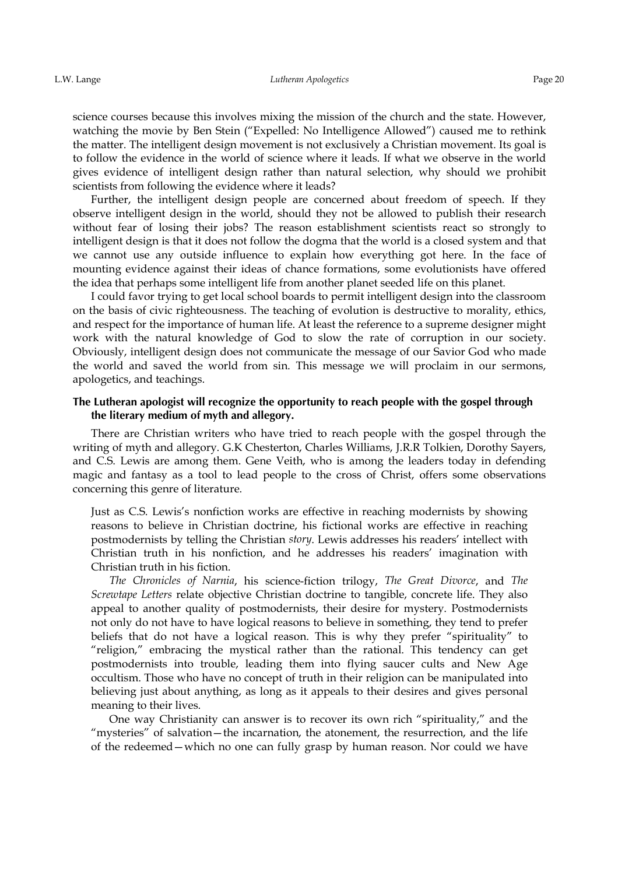science courses because this involves mixing the mission of the church and the state. However, watching the movie by Ben Stein ("Expelled: No Intelligence Allowed") caused me to rethink the matter. The intelligent design movement is not exclusively a Christian movement. Its goal is to follow the evidence in the world of science where it leads. If what we observe in the world gives evidence of intelligent design rather than natural selection, why should we prohibit scientists from following the evidence where it leads?

Further, the intelligent design people are concerned about freedom of speech. If they observe intelligent design in the world, should they not be allowed to publish their research without fear of losing their jobs? The reason establishment scientists react so strongly to intelligent design is that it does not follow the dogma that the world is a closed system and that we cannot use any outside influence to explain how everything got here. In the face of mounting evidence against their ideas of chance formations, some evolutionists have offered the idea that perhaps some intelligent life from another planet seeded life on this planet.

I could favor trying to get local school boards to permit intelligent design into the classroom on the basis of civic righteousness. The teaching of evolution is destructive to morality, ethics, and respect for the importance of human life. At least the reference to a supreme designer might work with the natural knowledge of God to slow the rate of corruption in our society. Obviously, intelligent design does not communicate the message of our Savior God who made the world and saved the world from sin. This message we will proclaim in our sermons, apologetics, and teachings.

### The Lutheran apologist will recognize the opportunity to reach people with the gospel through the literary medium of myth and allegory.

There are Christian writers who have tried to reach people with the gospel through the writing of myth and allegory. G.K Chesterton, Charles Williams, J.R.R Tolkien, Dorothy Sayers, and C.S. Lewis are among them. Gene Veith, who is among the leaders today in defending magic and fantasy as a tool to lead people to the cross of Christ, offers some observations concerning this genre of literature.

Just as C.S. Lewis's nonfiction works are effective in reaching modernists by showing reasons to believe in Christian doctrine, his fictional works are effective in reaching postmodernists by telling the Christian *story*. Lewis addresses his readers' intellect with Christian truth in his nonfiction, and he addresses his readers' imagination with Christian truth in his fiction.

*The Chronicles of Narnia*, his science-fiction trilogy, *The Great Divorce*, and *The Screwtape Letters* relate objective Christian doctrine to tangible, concrete life. They also appeal to another quality of postmodernists, their desire for mystery. Postmodernists not only do not have to have logical reasons to believe in something, they tend to prefer beliefs that do not have a logical reason. This is why they prefer "spirituality" to "religion," embracing the mystical rather than the rational. This tendency can get postmodernists into trouble, leading them into flying saucer cults and New Age occultism. Those who have no concept of truth in their religion can be manipulated into believing just about anything, as long as it appeals to their desires and gives personal meaning to their lives.

One way Christianity can answer is to recover its own rich "spirituality," and the "mysteries" of salvation—the incarnation, the atonement, the resurrection, and the life of the redeemed—which no one can fully grasp by human reason. Nor could we have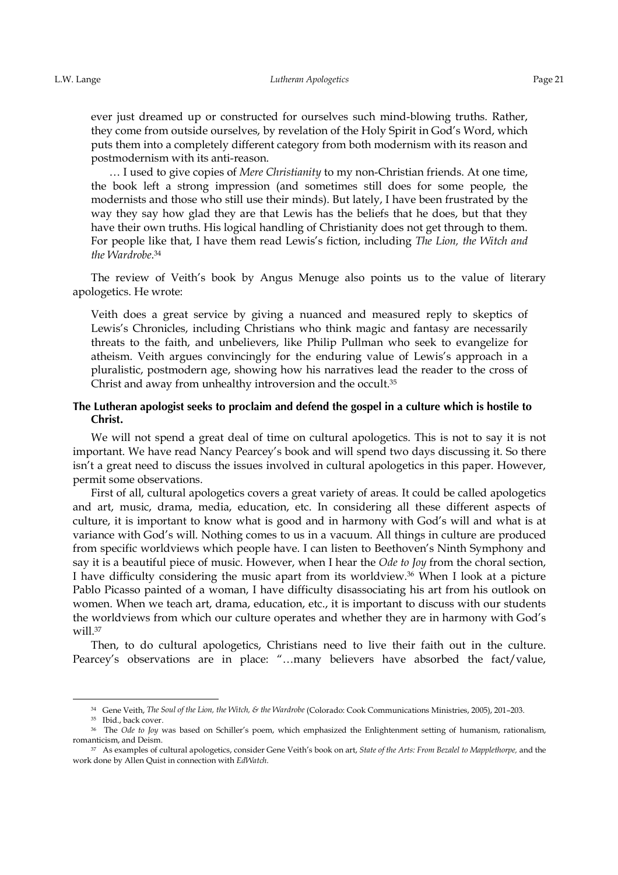ever just dreamed up or constructed for ourselves such mind-blowing truths. Rather, they come from outside ourselves, by revelation of the Holy Spirit in God's Word, which puts them into a completely different category from both modernism with its reason and postmodernism with its anti-reason.

… I used to give copies of *Mere Christianity* to my non-Christian friends. At one time, the book left a strong impression (and sometimes still does for some people, the modernists and those who still use their minds). But lately, I have been frustrated by the way they say how glad they are that Lewis has the beliefs that he does, but that they have their own truths. His logical handling of Christianity does not get through to them. For people like that, I have them read Lewis's fiction, including *The Lion, the Witch and the Wardrobe*. 34

The review of Veith's book by Angus Menuge also points us to the value of literary apologetics. He wrote:

Veith does a great service by giving a nuanced and measured reply to skeptics of Lewis's Chronicles, including Christians who think magic and fantasy are necessarily threats to the faith, and unbelievers, like Philip Pullman who seek to evangelize for atheism. Veith argues convincingly for the enduring value of Lewis's approach in a pluralistic, postmodern age, showing how his narratives lead the reader to the cross of Christ and away from unhealthy introversion and the occult.<sup>35</sup>

# The Lutheran apologist seeks to proclaim and defend the gospel in a culture which is hostile to Christ.

We will not spend a great deal of time on cultural apologetics. This is not to say it is not important. We have read Nancy Pearcey's book and will spend two days discussing it. So there isn't a great need to discuss the issues involved in cultural apologetics in this paper. However, permit some observations.

First of all, cultural apologetics covers a great variety of areas. It could be called apologetics and art, music, drama, media, education, etc. In considering all these different aspects of culture, it is important to know what is good and in harmony with God's will and what is at variance with God's will. Nothing comes to us in a vacuum. All things in culture are produced from specific worldviews which people have. I can listen to Beethoven's Ninth Symphony and say it is a beautiful piece of music. However, when I hear the *Ode to Joy* from the choral section, I have difficulty considering the music apart from its worldview.<sup>36</sup> When I look at a picture Pablo Picasso painted of a woman, I have difficulty disassociating his art from his outlook on women. When we teach art, drama, education, etc., it is important to discuss with our students the worldviews from which our culture operates and whether they are in harmony with God's will.<sup>37</sup>

Then, to do cultural apologetics, Christians need to live their faith out in the culture. Pearcey's observations are in place: "…many believers have absorbed the fact/value,

<u>.</u>

<sup>&</sup>lt;sup>34</sup> Gene Veith, *The Soul of the Lion, the Witch, & the Wardrobe* (Colorado: Cook Communications Ministries, 2005), 201-203.

<sup>&</sup>lt;sup>35</sup> Ibid., back cover.

<sup>&</sup>lt;sup>36</sup> The *Ode to Joy* was based on Schiller's poem, which emphasized the Enlightenment setting of humanism, rationalism, romanticism, and Deism.

<sup>37</sup>As examples of cultural apologetics, consider Gene Veith's book on art, *State of the Arts: From Bezalel to Mapplethorpe,* and the work done by Allen Quist in connection with *EdWatch*.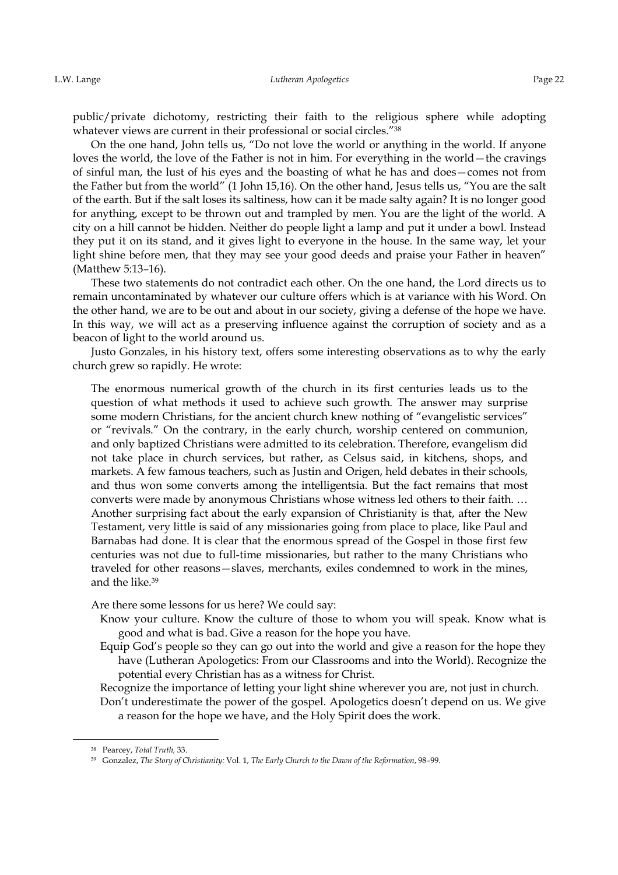public/private dichotomy, restricting their faith to the religious sphere while adopting whatever views are current in their professional or social circles."<sup>38</sup>

On the one hand, John tells us, "Do not love the world or anything in the world. If anyone loves the world, the love of the Father is not in him. For everything in the world—the cravings of sinful man, the lust of his eyes and the boasting of what he has and does—comes not from the Father but from the world" (1 John 15,16). On the other hand, Jesus tells us, "You are the salt of the earth. But if the salt loses its saltiness, how can it be made salty again? It is no longer good for anything, except to be thrown out and trampled by men. You are the light of the world. A city on a hill cannot be hidden. Neither do people light a lamp and put it under a bowl. Instead they put it on its stand, and it gives light to everyone in the house. In the same way, let your light shine before men, that they may see your good deeds and praise your Father in heaven" (Matthew 5:13–16).

These two statements do not contradict each other. On the one hand, the Lord directs us to remain uncontaminated by whatever our culture offers which is at variance with his Word. On the other hand, we are to be out and about in our society, giving a defense of the hope we have. In this way, we will act as a preserving influence against the corruption of society and as a beacon of light to the world around us.

Justo Gonzales, in his history text, offers some interesting observations as to why the early church grew so rapidly. He wrote:

The enormous numerical growth of the church in its first centuries leads us to the question of what methods it used to achieve such growth. The answer may surprise some modern Christians, for the ancient church knew nothing of "evangelistic services" or "revivals." On the contrary, in the early church, worship centered on communion, and only baptized Christians were admitted to its celebration. Therefore, evangelism did not take place in church services, but rather, as Celsus said, in kitchens, shops, and markets. A few famous teachers, such as Justin and Origen, held debates in their schools, and thus won some converts among the intelligentsia. But the fact remains that most converts were made by anonymous Christians whose witness led others to their faith. … Another surprising fact about the early expansion of Christianity is that, after the New Testament, very little is said of any missionaries going from place to place, like Paul and Barnabas had done. It is clear that the enormous spread of the Gospel in those first few centuries was not due to full-time missionaries, but rather to the many Christians who traveled for other reasons—slaves, merchants, exiles condemned to work in the mines, and the like.<sup>39</sup>

Are there some lessons for us here? We could say:

- Know your culture. Know the culture of those to whom you will speak. Know what is good and what is bad. Give a reason for the hope you have.
- Equip God's people so they can go out into the world and give a reason for the hope they have (Lutheran Apologetics: From our Classrooms and into the World). Recognize the potential every Christian has as a witness for Christ.
- Recognize the importance of letting your light shine wherever you are, not just in church.

Don't underestimate the power of the gospel. Apologetics doesn't depend on us. We give a reason for the hope we have, and the Holy Spirit does the work.

<u>.</u>

<sup>&</sup>lt;sup>38</sup> Pearcey, *Total Truth*, 33.

<sup>39</sup> Gonzalez, *The Story of Christianity:* Vol. 1, *The Early Church to the Dawn of the Reformation*, 98–99.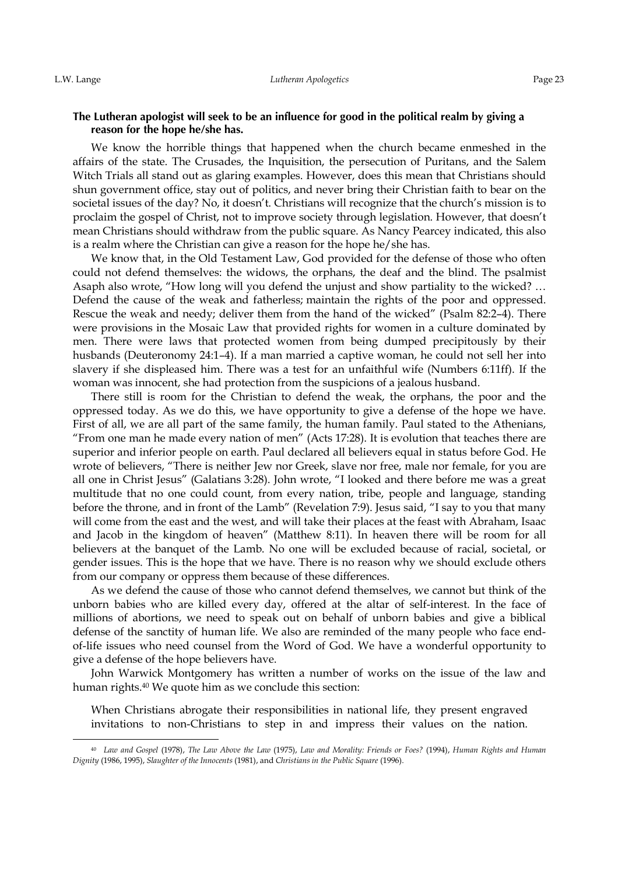<u>.</u>

### The Lutheran apologist will seek to be an influence for good in the political realm by giving a reason for the hope he/she has.

We know the horrible things that happened when the church became enmeshed in the affairs of the state. The Crusades, the Inquisition, the persecution of Puritans, and the Salem Witch Trials all stand out as glaring examples. However, does this mean that Christians should shun government office, stay out of politics, and never bring their Christian faith to bear on the societal issues of the day? No, it doesn't. Christians will recognize that the church's mission is to proclaim the gospel of Christ, not to improve society through legislation. However, that doesn't mean Christians should withdraw from the public square. As Nancy Pearcey indicated, this also is a realm where the Christian can give a reason for the hope he/she has.

We know that, in the Old Testament Law, God provided for the defense of those who often could not defend themselves: the widows, the orphans, the deaf and the blind. The psalmist Asaph also wrote, "How long will you defend the unjust and show partiality to the wicked? … Defend the cause of the weak and fatherless; maintain the rights of the poor and oppressed. Rescue the weak and needy; deliver them from the hand of the wicked" (Psalm 82:2–4). There were provisions in the Mosaic Law that provided rights for women in a culture dominated by men. There were laws that protected women from being dumped precipitously by their husbands (Deuteronomy 24:1–4). If a man married a captive woman, he could not sell her into slavery if she displeased him. There was a test for an unfaithful wife (Numbers 6:11ff). If the woman was innocent, she had protection from the suspicions of a jealous husband.

There still is room for the Christian to defend the weak, the orphans, the poor and the oppressed today. As we do this, we have opportunity to give a defense of the hope we have. First of all, we are all part of the same family, the human family. Paul stated to the Athenians, "From one man he made every nation of men" (Acts 17:28). It is evolution that teaches there are superior and inferior people on earth. Paul declared all believers equal in status before God. He wrote of believers, "There is neither Jew nor Greek, slave nor free, male nor female, for you are all one in Christ Jesus" (Galatians 3:28). John wrote, "I looked and there before me was a great multitude that no one could count, from every nation, tribe, people and language, standing before the throne, and in front of the Lamb" (Revelation 7:9). Jesus said, "I say to you that many will come from the east and the west, and will take their places at the feast with Abraham, Isaac and Jacob in the kingdom of heaven" (Matthew 8:11). In heaven there will be room for all believers at the banquet of the Lamb. No one will be excluded because of racial, societal, or gender issues. This is the hope that we have. There is no reason why we should exclude others from our company or oppress them because of these differences.

As we defend the cause of those who cannot defend themselves, we cannot but think of the unborn babies who are killed every day, offered at the altar of self-interest. In the face of millions of abortions, we need to speak out on behalf of unborn babies and give a biblical defense of the sanctity of human life. We also are reminded of the many people who face endof-life issues who need counsel from the Word of God. We have a wonderful opportunity to give a defense of the hope believers have.

John Warwick Montgomery has written a number of works on the issue of the law and human rights.40 We quote him as we conclude this section:

When Christians abrogate their responsibilities in national life, they present engraved invitations to non-Christians to step in and impress their values on the nation.

<sup>40</sup>*Law and Gospel* (1978), *The Law Above the Law* (1975), *Law and Morality: Friends or Foes?* (1994), *Human Rights and Human Dignity* (1986, 1995), *Slaughter of the Innocents* (1981), and *Christians in the Public Square* (1996).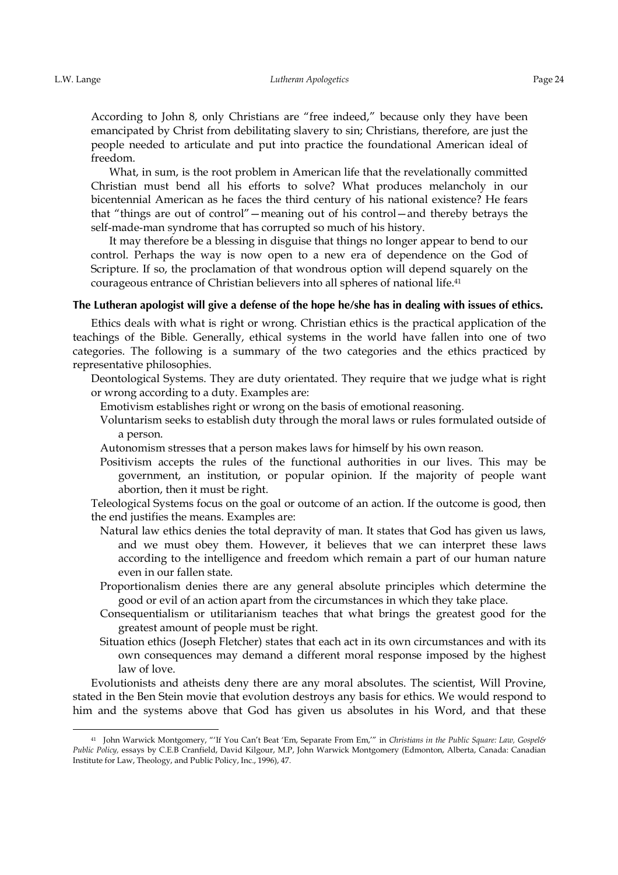-

According to John 8, only Christians are "free indeed," because only they have been emancipated by Christ from debilitating slavery to sin; Christians, therefore, are just the people needed to articulate and put into practice the foundational American ideal of freedom.

What, in sum, is the root problem in American life that the revelationally committed Christian must bend all his efforts to solve? What produces melancholy in our bicentennial American as he faces the third century of his national existence? He fears that "things are out of control"—meaning out of his control—and thereby betrays the self-made-man syndrome that has corrupted so much of his history.

It may therefore be a blessing in disguise that things no longer appear to bend to our control. Perhaps the way is now open to a new era of dependence on the God of Scripture. If so, the proclamation of that wondrous option will depend squarely on the courageous entrance of Christian believers into all spheres of national life.<sup>41</sup>

## The Lutheran apologist will give a defense of the hope he/she has in dealing with issues of ethics.

Ethics deals with what is right or wrong. Christian ethics is the practical application of the teachings of the Bible. Generally, ethical systems in the world have fallen into one of two categories. The following is a summary of the two categories and the ethics practiced by representative philosophies.

Deontological Systems. They are duty orientated. They require that we judge what is right or wrong according to a duty. Examples are:

Emotivism establishes right or wrong on the basis of emotional reasoning.

Voluntarism seeks to establish duty through the moral laws or rules formulated outside of a person.

Autonomism stresses that a person makes laws for himself by his own reason.

Positivism accepts the rules of the functional authorities in our lives. This may be government, an institution, or popular opinion. If the majority of people want abortion, then it must be right.

Teleological Systems focus on the goal or outcome of an action. If the outcome is good, then the end justifies the means. Examples are:

- Natural law ethics denies the total depravity of man. It states that God has given us laws, and we must obey them. However, it believes that we can interpret these laws according to the intelligence and freedom which remain a part of our human nature even in our fallen state.
- Proportionalism denies there are any general absolute principles which determine the good or evil of an action apart from the circumstances in which they take place.
- Consequentialism or utilitarianism teaches that what brings the greatest good for the greatest amount of people must be right.
- Situation ethics (Joseph Fletcher) states that each act in its own circumstances and with its own consequences may demand a different moral response imposed by the highest law of love.

Evolutionists and atheists deny there are any moral absolutes. The scientist, Will Provine, stated in the Ben Stein movie that evolution destroys any basis for ethics. We would respond to him and the systems above that God has given us absolutes in his Word, and that these

<sup>41</sup>John Warwick Montgomery, "'If You Can't Beat 'Em, Separate From Em,'" in *Christians in the Public Square: Law, Gospel& Public Policy,* essays by C.E.B Cranfield, David Kilgour, M.P, John Warwick Montgomery (Edmonton, Alberta, Canada: Canadian Institute for Law, Theology, and Public Policy, Inc., 1996), 47.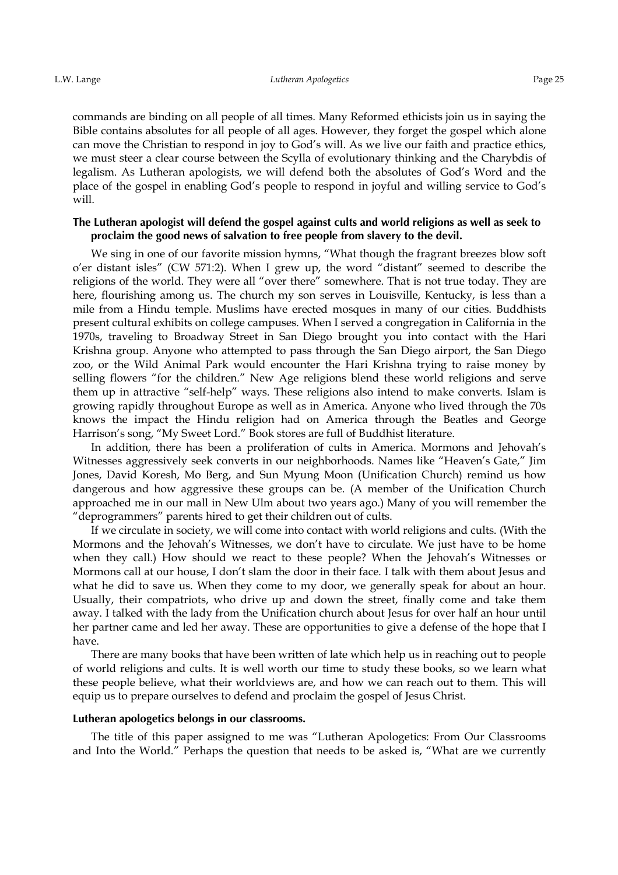commands are binding on all people of all times. Many Reformed ethicists join us in saying the Bible contains absolutes for all people of all ages. However, they forget the gospel which alone can move the Christian to respond in joy to God's will. As we live our faith and practice ethics, we must steer a clear course between the Scylla of evolutionary thinking and the Charybdis of legalism. As Lutheran apologists, we will defend both the absolutes of God's Word and the place of the gospel in enabling God's people to respond in joyful and willing service to God's will.

### The Lutheran apologist will defend the gospel against cults and world religions as well as seek to **proclaim the good news of salvation to free people from slavery to the devil.**

We sing in one of our favorite mission hymns, "What though the fragrant breezes blow soft o'er distant isles" (CW 571:2). When I grew up, the word "distant" seemed to describe the religions of the world. They were all "over there" somewhere. That is not true today. They are here, flourishing among us. The church my son serves in Louisville, Kentucky, is less than a mile from a Hindu temple. Muslims have erected mosques in many of our cities. Buddhists present cultural exhibits on college campuses. When I served a congregation in California in the 1970s, traveling to Broadway Street in San Diego brought you into contact with the Hari Krishna group. Anyone who attempted to pass through the San Diego airport, the San Diego zoo, or the Wild Animal Park would encounter the Hari Krishna trying to raise money by selling flowers "for the children." New Age religions blend these world religions and serve them up in attractive "self-help" ways. These religions also intend to make converts. Islam is growing rapidly throughout Europe as well as in America. Anyone who lived through the 70s knows the impact the Hindu religion had on America through the Beatles and George Harrison's song, "My Sweet Lord." Book stores are full of Buddhist literature.

In addition, there has been a proliferation of cults in America. Mormons and Jehovah's Witnesses aggressively seek converts in our neighborhoods. Names like "Heaven's Gate," Jim Jones, David Koresh, Mo Berg, and Sun Myung Moon (Unification Church) remind us how dangerous and how aggressive these groups can be. (A member of the Unification Church approached me in our mall in New Ulm about two years ago.) Many of you will remember the "deprogrammers" parents hired to get their children out of cults.

If we circulate in society, we will come into contact with world religions and cults. (With the Mormons and the Jehovah's Witnesses, we don't have to circulate. We just have to be home when they call.) How should we react to these people? When the Jehovah's Witnesses or Mormons call at our house, I don't slam the door in their face. I talk with them about Jesus and what he did to save us. When they come to my door, we generally speak for about an hour. Usually, their compatriots, who drive up and down the street, finally come and take them away. I talked with the lady from the Unification church about Jesus for over half an hour until her partner came and led her away. These are opportunities to give a defense of the hope that I have.

There are many books that have been written of late which help us in reaching out to people of world religions and cults. It is well worth our time to study these books, so we learn what these people believe, what their worldviews are, and how we can reach out to them. This will equip us to prepare ourselves to defend and proclaim the gospel of Jesus Christ.

#### Lutheran apologetics belongs in our classrooms.

The title of this paper assigned to me was "Lutheran Apologetics: From Our Classrooms and Into the World." Perhaps the question that needs to be asked is, "What are we currently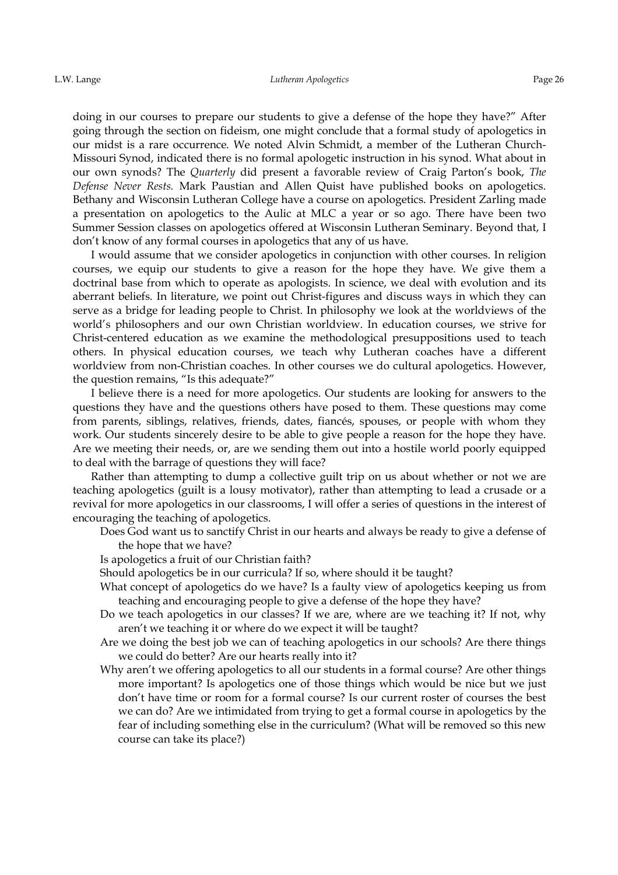doing in our courses to prepare our students to give a defense of the hope they have?" After going through the section on fideism, one might conclude that a formal study of apologetics in our midst is a rare occurrence. We noted Alvin Schmidt, a member of the Lutheran Church-Missouri Synod, indicated there is no formal apologetic instruction in his synod. What about in our own synods? The *Quarterly* did present a favorable review of Craig Parton's book, *The Defense Never Rests.* Mark Paustian and Allen Quist have published books on apologetics. Bethany and Wisconsin Lutheran College have a course on apologetics. President Zarling made a presentation on apologetics to the Aulic at MLC a year or so ago. There have been two Summer Session classes on apologetics offered at Wisconsin Lutheran Seminary. Beyond that, I don't know of any formal courses in apologetics that any of us have.

I would assume that we consider apologetics in conjunction with other courses. In religion courses, we equip our students to give a reason for the hope they have. We give them a doctrinal base from which to operate as apologists. In science, we deal with evolution and its aberrant beliefs. In literature, we point out Christ-figures and discuss ways in which they can serve as a bridge for leading people to Christ. In philosophy we look at the worldviews of the world's philosophers and our own Christian worldview. In education courses, we strive for Christ-centered education as we examine the methodological presuppositions used to teach others. In physical education courses, we teach why Lutheran coaches have a different worldview from non-Christian coaches. In other courses we do cultural apologetics. However, the question remains, "Is this adequate?"

I believe there is a need for more apologetics. Our students are looking for answers to the questions they have and the questions others have posed to them. These questions may come from parents, siblings, relatives, friends, dates, fiancés, spouses, or people with whom they work. Our students sincerely desire to be able to give people a reason for the hope they have. Are we meeting their needs, or, are we sending them out into a hostile world poorly equipped to deal with the barrage of questions they will face?

Rather than attempting to dump a collective guilt trip on us about whether or not we are teaching apologetics (guilt is a lousy motivator), rather than attempting to lead a crusade or a revival for more apologetics in our classrooms, I will offer a series of questions in the interest of encouraging the teaching of apologetics.

- Does God want us to sanctify Christ in our hearts and always be ready to give a defense of the hope that we have?
- Is apologetics a fruit of our Christian faith?
- Should apologetics be in our curricula? If so, where should it be taught?
- What concept of apologetics do we have? Is a faulty view of apologetics keeping us from teaching and encouraging people to give a defense of the hope they have?
- Do we teach apologetics in our classes? If we are, where are we teaching it? If not, why aren't we teaching it or where do we expect it will be taught?
- Are we doing the best job we can of teaching apologetics in our schools? Are there things we could do better? Are our hearts really into it?
- Why aren't we offering apologetics to all our students in a formal course? Are other things more important? Is apologetics one of those things which would be nice but we just don't have time or room for a formal course? Is our current roster of courses the best we can do? Are we intimidated from trying to get a formal course in apologetics by the fear of including something else in the curriculum? (What will be removed so this new course can take its place?)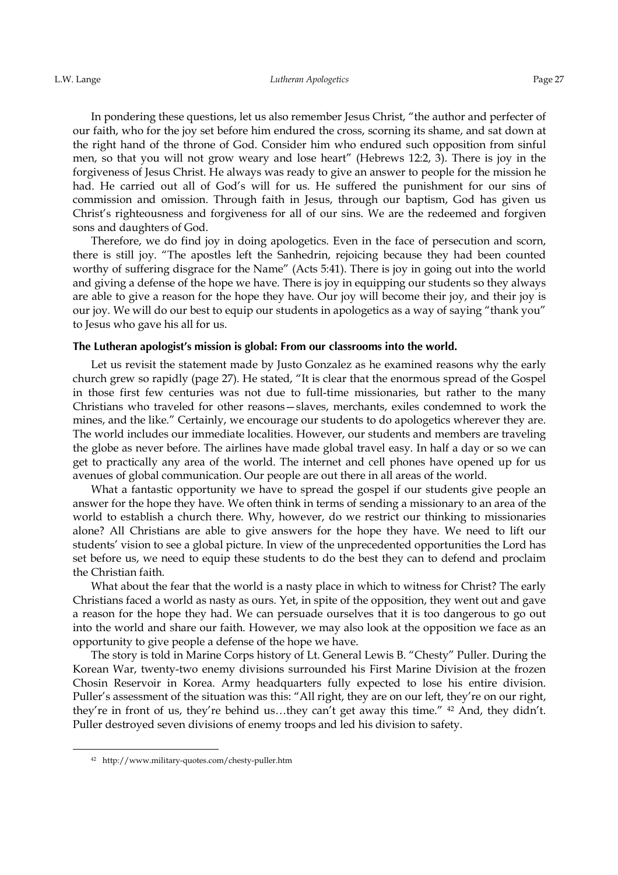In pondering these questions, let us also remember Jesus Christ, "the author and perfecter of our faith, who for the joy set before him endured the cross, scorning its shame, and sat down at the right hand of the throne of God. Consider him who endured such opposition from sinful men, so that you will not grow weary and lose heart" (Hebrews 12:2, 3). There is joy in the forgiveness of Jesus Christ. He always was ready to give an answer to people for the mission he had. He carried out all of God's will for us. He suffered the punishment for our sins of commission and omission. Through faith in Jesus, through our baptism, God has given us Christ's righteousness and forgiveness for all of our sins. We are the redeemed and forgiven sons and daughters of God.

Therefore, we do find joy in doing apologetics. Even in the face of persecution and scorn, there is still joy. "The apostles left the Sanhedrin, rejoicing because they had been counted worthy of suffering disgrace for the Name" (Acts 5:41). There is joy in going out into the world and giving a defense of the hope we have. There is joy in equipping our students so they always are able to give a reason for the hope they have. Our joy will become their joy, and their joy is our joy. We will do our best to equip our students in apologetics as a way of saying "thank you" to Jesus who gave his all for us.

### The Lutheran apologist's mission is global: From our classrooms into the world.

Let us revisit the statement made by Justo Gonzalez as he examined reasons why the early church grew so rapidly (page 27). He stated, "It is clear that the enormous spread of the Gospel in those first few centuries was not due to full-time missionaries, but rather to the many Christians who traveled for other reasons—slaves, merchants, exiles condemned to work the mines, and the like." Certainly, we encourage our students to do apologetics wherever they are. The world includes our immediate localities. However, our students and members are traveling the globe as never before. The airlines have made global travel easy. In half a day or so we can get to practically any area of the world. The internet and cell phones have opened up for us avenues of global communication. Our people are out there in all areas of the world.

What a fantastic opportunity we have to spread the gospel if our students give people an answer for the hope they have. We often think in terms of sending a missionary to an area of the world to establish a church there. Why, however, do we restrict our thinking to missionaries alone? All Christians are able to give answers for the hope they have. We need to lift our students' vision to see a global picture. In view of the unprecedented opportunities the Lord has set before us, we need to equip these students to do the best they can to defend and proclaim the Christian faith.

What about the fear that the world is a nasty place in which to witness for Christ? The early Christians faced a world as nasty as ours. Yet, in spite of the opposition, they went out and gave a reason for the hope they had. We can persuade ourselves that it is too dangerous to go out into the world and share our faith. However, we may also look at the opposition we face as an opportunity to give people a defense of the hope we have.

The story is told in Marine Corps history of Lt. General Lewis B. "Chesty" Puller. During the Korean War, twenty-two enemy divisions surrounded his First Marine Division at the frozen Chosin Reservoir in Korea. Army headquarters fully expected to lose his entire division. Puller's assessment of the situation was this: "All right, they are on our left, they're on our right, they're in front of us, they're behind us…they can't get away this time." 42 And, they didn't. Puller destroyed seven divisions of enemy troops and led his division to safety.

<u>.</u>

<sup>42</sup> http://www.military-quotes.com/chesty-puller.htm